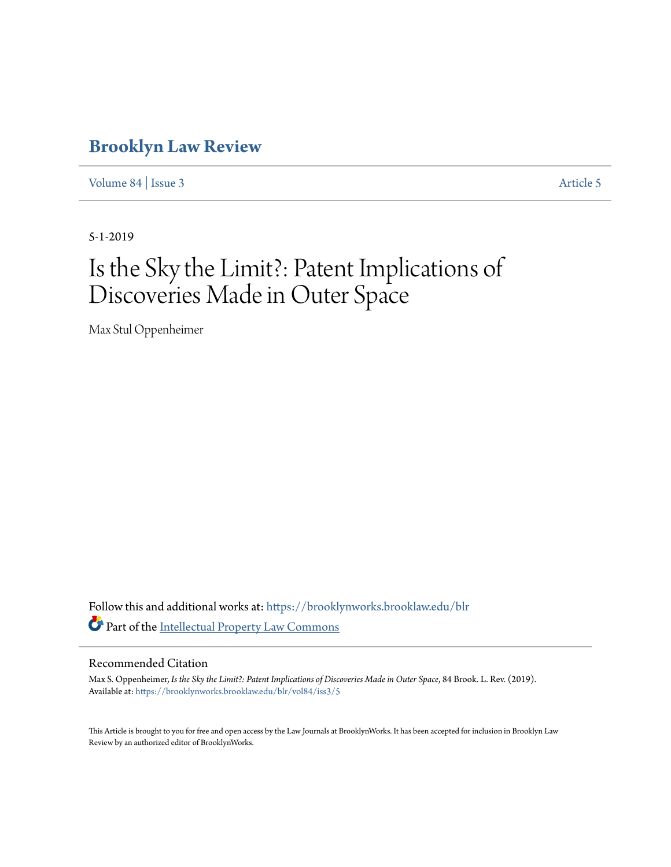# **[Brooklyn Law Review](https://brooklynworks.brooklaw.edu/blr?utm_source=brooklynworks.brooklaw.edu%2Fblr%2Fvol84%2Fiss3%2F5&utm_medium=PDF&utm_campaign=PDFCoverPages)**

[Volume 84](https://brooklynworks.brooklaw.edu/blr/vol84?utm_source=brooklynworks.brooklaw.edu%2Fblr%2Fvol84%2Fiss3%2F5&utm_medium=PDF&utm_campaign=PDFCoverPages) | [Issue 3](https://brooklynworks.brooklaw.edu/blr/vol84/iss3?utm_source=brooklynworks.brooklaw.edu%2Fblr%2Fvol84%2Fiss3%2F5&utm_medium=PDF&utm_campaign=PDFCoverPages) [Article 5](https://brooklynworks.brooklaw.edu/blr/vol84/iss3/5?utm_source=brooklynworks.brooklaw.edu%2Fblr%2Fvol84%2Fiss3%2F5&utm_medium=PDF&utm_campaign=PDFCoverPages)

5-1-2019

# Is the Sky the Limit?: Patent Implications of Discoveries Made in Outer Space

Max Stul Oppenheimer

Follow this and additional works at: [https://brooklynworks.brooklaw.edu/blr](https://brooklynworks.brooklaw.edu/blr?utm_source=brooklynworks.brooklaw.edu%2Fblr%2Fvol84%2Fiss3%2F5&utm_medium=PDF&utm_campaign=PDFCoverPages) Part of the [Intellectual Property Law Commons](http://network.bepress.com/hgg/discipline/896?utm_source=brooklynworks.brooklaw.edu%2Fblr%2Fvol84%2Fiss3%2F5&utm_medium=PDF&utm_campaign=PDFCoverPages)

#### Recommended Citation

Max S. Oppenheimer, *Is the Sky the Limit?: Patent Implications of Discoveries Made in Outer Space*, 84 Brook. L. Rev. (2019). Available at: [https://brooklynworks.brooklaw.edu/blr/vol84/iss3/5](https://brooklynworks.brooklaw.edu/blr/vol84/iss3/5?utm_source=brooklynworks.brooklaw.edu%2Fblr%2Fvol84%2Fiss3%2F5&utm_medium=PDF&utm_campaign=PDFCoverPages)

This Article is brought to you for free and open access by the Law Journals at BrooklynWorks. It has been accepted for inclusion in Brooklyn Law Review by an authorized editor of BrooklynWorks.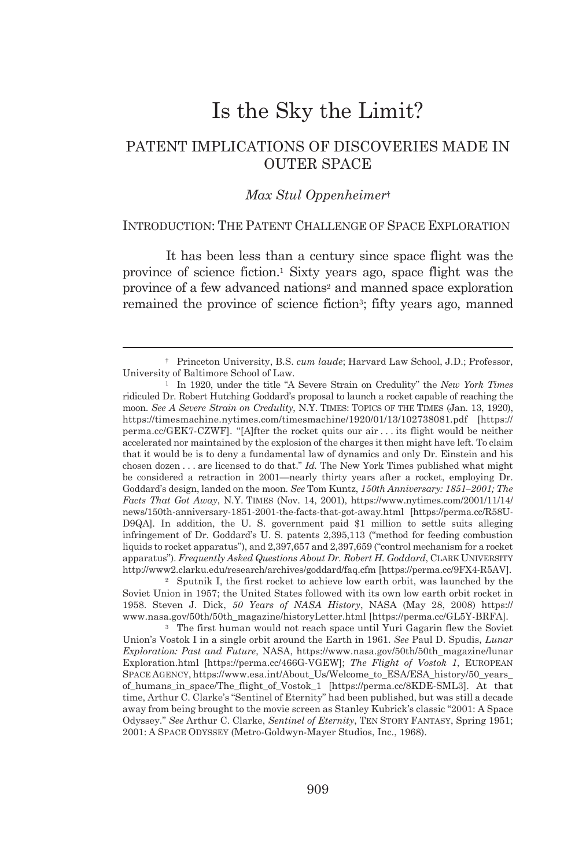# Is the Sky the Limit?

# PATENT IMPLICATIONS OF DISCOVERIES MADE IN OUTER SPACE

#### *Max Stul Oppenheimer*†

#### INTRODUCTION: THE PATENT CHALLENGE OF SPACE EXPLORATION

It has been less than a century since space flight was the province of science fiction.1 Sixty years ago, space flight was the province of a few advanced nations<sup>2</sup> and manned space exploration remained the province of science fiction3; fifty years ago, manned

 <sup>†</sup> Princeton University, B.S. *cum laude*; Harvard Law School, J.D.; Professor, University of Baltimore School of Law. 1 In 1920, under the title "A Severe Strain on Credulity" the *New York Times*

ridiculed Dr. Robert Hutching Goddard's proposal to launch a rocket capable of reaching the moon. *See A Severe Strain on Credulity*, N.Y. TIMES: TOPICS OF THE TIMES (Jan. 13, 1920), https://timesmachine.nytimes.com/timesmachine/1920/01/13/102738081.pdf [https:// perma.cc/GEK7-CZWF]. "[A]fter the rocket quits our air . . . its flight would be neither accelerated nor maintained by the explosion of the charges it then might have left. To claim that it would be is to deny a fundamental law of dynamics and only Dr. Einstein and his chosen dozen . . . are licensed to do that." *Id.* The New York Times published what might be considered a retraction in 2001—nearly thirty years after a rocket, employing Dr. Goddard's design, landed on the moon. *See* Tom Kuntz, *150th Anniversary: 1851–2001; The Facts That Got Away*, N.Y. TIMES (Nov. 14, 2001), https://www.nytimes.com/2001/11/14/ news/150th-anniversary-1851-2001-the-facts-that-got-away.html [https://perma.cc/R58U-D9QA]. In addition, the U. S. government paid \$1 million to settle suits alleging infringement of Dr. Goddard's U. S. patents 2,395,113 ("method for feeding combustion liquids to rocket apparatus"), and 2,397,657 and 2,397,659 ("control mechanism for a rocket apparatus"). *Frequently Asked Questions About Dr. Robert H. Goddard*, CLARK UNIVERSITY http://www2.clarku.edu/research/archives/goddard/faq.cfm [https://perma.cc/9FX4-R5AV]. 2 Sputnik I, the first rocket to achieve low earth orbit, was launched by the

Soviet Union in 1957; the United States followed with its own low earth orbit rocket in 1958. Steven J. Dick, *50 Years of NASA History*, NASA (May 28, 2008) https:// www.nasa.gov/50th/50th\_magazine/historyLetter.html [https://perma.cc/GL5Y-BRFA]. 3 The first human would not reach space until Yuri Gagarin flew the Soviet

Union's Vostok I in a single orbit around the Earth in 1961. *See* Paul D. Spudis, *Lunar Exploration: Past and Future*, NASA, https://www.nasa.gov/50th/50th\_magazine/lunar Exploration.html [https://perma.cc/466G-VGEW]; *The Flight of Vostok 1*, EUROPEAN SPACE AGENCY, https://www.esa.int/About\_Us/Welcome\_to\_ESA/ESA\_history/50\_years\_ of\_humans\_in\_space/The\_flight\_of\_Vostok\_1 [https://perma.cc/8KDE-SML3]. At that time, Arthur C. Clarke's "Sentinel of Eternity" had been published, but was still a decade away from being brought to the movie screen as Stanley Kubrick's classic "2001: A Space Odyssey." *See* Arthur C. Clarke, *Sentinel of Eternity*, TEN STORY FANTASY, Spring 1951; 2001: A SPACE ODYSSEY (Metro-Goldwyn-Mayer Studios, Inc., 1968).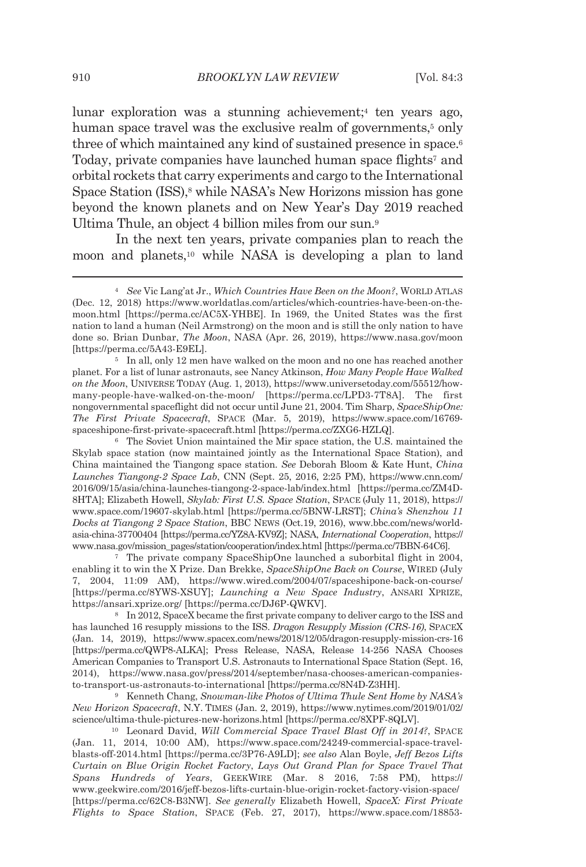lunar exploration was a stunning achievement;<sup>4</sup> ten years ago, human space travel was the exclusive realm of governments,<sup>5</sup> only three of which maintained any kind of sustained presence in space.6 Today, private companies have launched human space flights<sup>7</sup> and orbital rockets that carry experiments and cargo to the International Space Station (ISS),<sup>8</sup> while NASA's New Horizons mission has gone beyond the known planets and on New Year's Day 2019 reached Ultima Thule, an object 4 billion miles from our sun.9

In the next ten years, private companies plan to reach the moon and planets,10 while NASA is developing a plan to land

planet. For a list of lunar astronauts, see Nancy Atkinson, *How Many People Have Walked on the Moon*, UNIVERSE TODAY (Aug. 1, 2013), https://www.universetoday.com/55512/howmany-people-have-walked-on-the-moon/ [https://perma.cc/LPD3-7T8A]. The first nongovernmental spaceflight did not occur until June 21, 2004. Tim Sharp, *SpaceShipOne: The First Private Spacecraft*, SPACE (Mar. 5, 2019), https://www.space.com/16769 spaceshipone-first-private-spacecraft.html [https://perma.cc/ZXG6-HZLQ]. 6 The Soviet Union maintained the Mir space station, the U.S. maintained the

Skylab space station (now maintained jointly as the International Space Station), and China maintained the Tiangong space station. *See* Deborah Bloom & Kate Hunt, *China Launches Tiangong-2 Space Lab*, CNN (Sept. 25, 2016, 2:25 PM), https://www.cnn.com/ 2016/09/15/asia/china-launches-tiangong-2-space-lab/index.html [https://perma.cc/ZM4D-8HTA]; Elizabeth Howell, *Skylab: First U.S. Space Station*, SPACE (July 11, 2018), https:// www.space.com/19607-skylab.html [https://perma.cc/5BNW-LRST]; *China's Shenzhou 11 Docks at Tiangong 2 Space Station*, BBC NEWS (Oct.19, 2016), www.bbc.com/news/worldasia-china-37700404 [https://perma.cc/YZ8A-KV9Z]; NASA, *International Cooperation*, https:// www.nasa.gov/mission\_pages/station/cooperation/index.html [https://perma.cc/7BBN-64C6].

7 The private company SpaceShipOne launched a suborbital flight in 2004, enabling it to win the X Prize. Dan Brekke, *SpaceShipOne Back on Course*, WIRED (July 7, 2004, 11:09 AM), https://www.wired.com/2004/07/spaceshipone-back-on-course/ [https://perma.cc/8YWS-XSUY]; *Launching a New Space Industry*, ANSARI XPRIZE, https://ansari.xprize.org/ [https://perma.cc/DJ6P-QWKV].<br><sup>8</sup> In 2012, SpaceX became the first private company to deliver cargo to the ISS and

has launched 16 resupply missions to the ISS. *Dragon Resupply Mission (CRS-16)*, SPACEX (Jan. 14, 2019), https://www.spacex.com/news/2018/12/05/dragon-resupply-mission-crs-16 [https://perma.cc/QWP8-ALKA]; Press Release, NASA, Release 14-256 NASA Chooses American Companies to Transport U.S. Astronauts to International Space Station (Sept. 16, 2014), https://www.nasa.gov/press/2014/september/nasa-chooses-american-companiesto-transport-us-astronauts-to-international [https://perma.cc/8N4D-Z3HH]. 9 Kenneth Chang, *Snowman-like Photos of Ultima Thule Sent Home by NASA's* 

*New Horizon Spacecraft*, N.Y. TIMES (Jan. 2, 2019), https://www.nytimes.com/2019/01/02/ science/ultima-thule-pictures-new-horizons.html [https://perma.cc/8XPF-8QLV]. 10 Leonard David, *Will Commercial Space Travel Blast Off in 2014?*, SPACE

(Jan. 11, 2014, 10:00 AM), https://www.space.com/24249-commercial-space-travelblasts-off-2014.html [https://perma.cc/3P76-A9LD]; *see also* Alan Boyle, *Jeff Bezos Lifts Curtain on Blue Origin Rocket Factory*, *Lays Out Grand Plan for Space Travel That Spans Hundreds of Years*, GEEKWIRE (Mar. 8 2016, 7:58 PM), https:// www.geekwire.com/2016/jeff-bezos-lifts-curtain-blue-origin-rocket-factory-vision-space/ [https://perma.cc/62C8-B3NW]. *See generally* Elizabeth Howell, *SpaceX: First Private Flights to Space Station*, SPACE (Feb. 27, 2017), https://www.space.com/18853-

<sup>4</sup> *See* Vic Lang'at Jr., *Which Countries Have Been on the Moon?*, WORLD ATLAS (Dec. 12, 2018) https://www.worldatlas.com/articles/which-countries-have-been-on-themoon.html [https://perma.cc/AC5X-YHBE]. In 1969, the United States was the first nation to land a human (Neil Armstrong) on the moon and is still the only nation to have done so. Brian Dunbar, *The Moon*, NASA (Apr. 26, 2019), https://www.nasa.gov/moon [https://perma.cc/5A43-E9EL]. 5 In all, only 12 men have walked on the moon and no one has reached another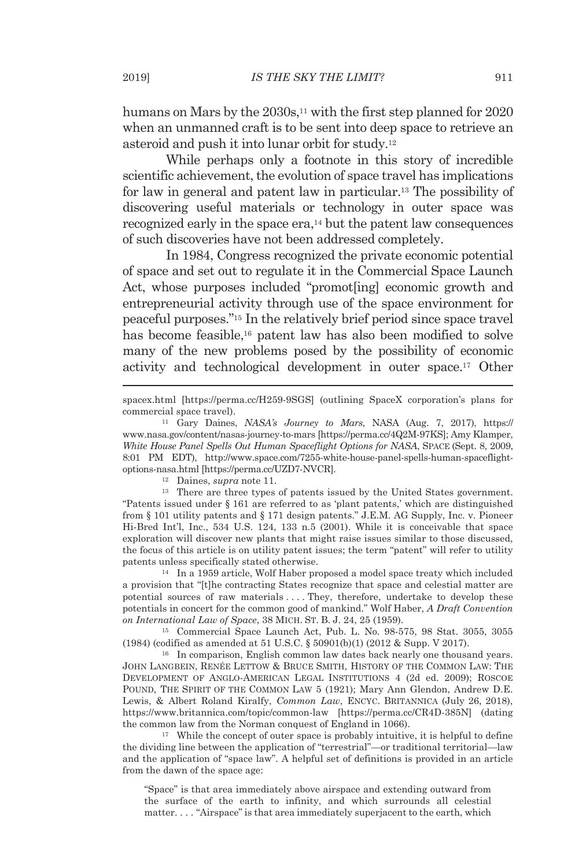humans on Mars by the 2030s,<sup>11</sup> with the first step planned for 2020 when an unmanned craft is to be sent into deep space to retrieve an asteroid and push it into lunar orbit for study.12

While perhaps only a footnote in this story of incredible scientific achievement, the evolution of space travel has implications for law in general and patent law in particular.13 The possibility of discovering useful materials or technology in outer space was recognized early in the space era,14 but the patent law consequences of such discoveries have not been addressed completely.

In 1984, Congress recognized the private economic potential of space and set out to regulate it in the Commercial Space Launch Act, whose purposes included "promot[ing] economic growth and entrepreneurial activity through use of the space environment for peaceful purposes."15 In the relatively brief period since space travel has become feasible,16 patent law has also been modified to solve many of the new problems posed by the possibility of economic activity and technological development in outer space.17 Other

"Patents issued under § 161 are referred to as 'plant patents,' which are distinguished from § 101 utility patents and § 171 design patents." J.E.M. AG Supply, Inc. v. Pioneer Hi-Bred Int'l, Inc., 534 U.S. 124, 133 n.5 (2001). While it is conceivable that space exploration will discover new plants that might raise issues similar to those discussed, the focus of this article is on utility patent issues; the term "patent" will refer to utility patents unless specifically stated otherwise.<br><sup>14</sup> In a 1959 article, Wolf Haber proposed a model space treaty which included

a provision that "[t]he contracting States recognize that space and celestial matter are potential sources of raw materials . . . . They, therefore, undertake to develop these potentials in concert for the common good of mankind." Wolf Haber, *A Draft Convention* 

<sup>15</sup> Commercial Space Launch Act, Pub. L. No. 98-575, 98 Stat. 3055, 3055 (1984) (codified as amended at 51 U.S.C. § 50901(b)(1) (2012 & Supp. V 2017).<br><sup>16</sup> In comparison, English common law dates back nearly one thousand years.

JOHN LANGBEIN, RENÉE LETTOW & BRUCE SMITH, HISTORY OF THE COMMON LAW: THE DEVELOPMENT OF ANGLO-AMERICAN LEGAL INSTITUTIONS 4 (2d ed. 2009); ROSCOE POUND, THE SPIRIT OF THE COMMON LAW 5 (1921); Mary Ann Glendon, Andrew D.E. Lewis, & Albert Roland Kiralfy, *Common Law*, ENCYC. BRITANNICA (July 26, 2018), https://www.britannica.com/topic/common-law [https://perma.cc/CR4D-385N] (dating the common law from the Norman conquest of England in 1066).<br><sup>17</sup> While the concept of outer space is probably intuitive, it is helpful to define

the dividing line between the application of "terrestrial"—or traditional territorial—law and the application of "space law". A helpful set of definitions is provided in an article from the dawn of the space age:

"Space" is that area immediately above airspace and extending outward from the surface of the earth to infinity, and which surrounds all celestial matter. . . . "Airspace" is that area immediately superjacent to the earth, which

spacex.html [https://perma.cc/H259-9SGS] (outlining SpaceX corporation's plans for commercial space travel). 11 Gary Daines, *NASA's Journey to Mars*, NASA (Aug. 7, 2017), https://

www.nasa.gov/content/nasas-journey-to-mars [https://perma.cc/4Q2M-97KS]; Amy Klamper, *White House Panel Spells Out Human Spaceflight Options for NASA*, SPACE (Sept. 8, 2009, 8:01 PM EDT), http://www.space.com/7255-white-house-panel-spells-human-spaceflightoptions-nasa.html [https://perma.cc/UZD7-NVCR].<br><sup>12</sup> Daines, *supra* note 11.<br><sup>13</sup> There are three types of patents issued by the United States government.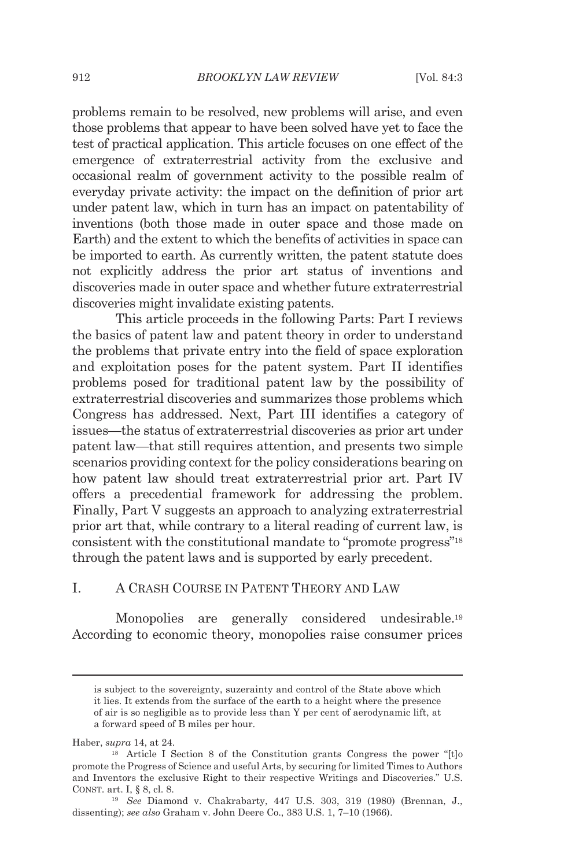problems remain to be resolved, new problems will arise, and even those problems that appear to have been solved have yet to face the test of practical application. This article focuses on one effect of the emergence of extraterrestrial activity from the exclusive and occasional realm of government activity to the possible realm of everyday private activity: the impact on the definition of prior art under patent law, which in turn has an impact on patentability of inventions (both those made in outer space and those made on Earth) and the extent to which the benefits of activities in space can be imported to earth. As currently written, the patent statute does not explicitly address the prior art status of inventions and discoveries made in outer space and whether future extraterrestrial discoveries might invalidate existing patents.

This article proceeds in the following Parts: Part I reviews the basics of patent law and patent theory in order to understand the problems that private entry into the field of space exploration and exploitation poses for the patent system. Part II identifies problems posed for traditional patent law by the possibility of extraterrestrial discoveries and summarizes those problems which Congress has addressed. Next, Part III identifies a category of issues—the status of extraterrestrial discoveries as prior art under patent law—that still requires attention, and presents two simple scenarios providing context for the policy considerations bearing on how patent law should treat extraterrestrial prior art. Part IV offers a precedential framework for addressing the problem. Finally, Part V suggests an approach to analyzing extraterrestrial prior art that, while contrary to a literal reading of current law, is consistent with the constitutional mandate to "promote progress"18 through the patent laws and is supported by early precedent.

#### I. A CRASH COURSE IN PATENT THEORY AND LAW

Monopolies are generally considered undesirable.<sup>19</sup> According to economic theory, monopolies raise consumer prices

is subject to the sovereignty, suzerainty and control of the State above which it lies. It extends from the surface of the earth to a height where the presence of air is so negligible as to provide less than Y per cent of aerodynamic lift, at a forward speed of B miles per hour.

Haber, *supra* 14, at 24.<br><sup>18</sup> Article I Section 8 of the Constitution grants Congress the power "[t]o promote the Progress of Science and useful Arts, by securing for limited Times to Authors and Inventors the exclusive Right to their respective Writings and Discoveries." U.S. CONST. art. I, § 8, cl. 8. 19 *See* Diamond v. Chakrabarty, 447 U.S. 303, 319 (1980) (Brennan, J.,

dissenting); *see also* Graham v. John Deere Co., 383 U.S. 1, 7–10 (1966).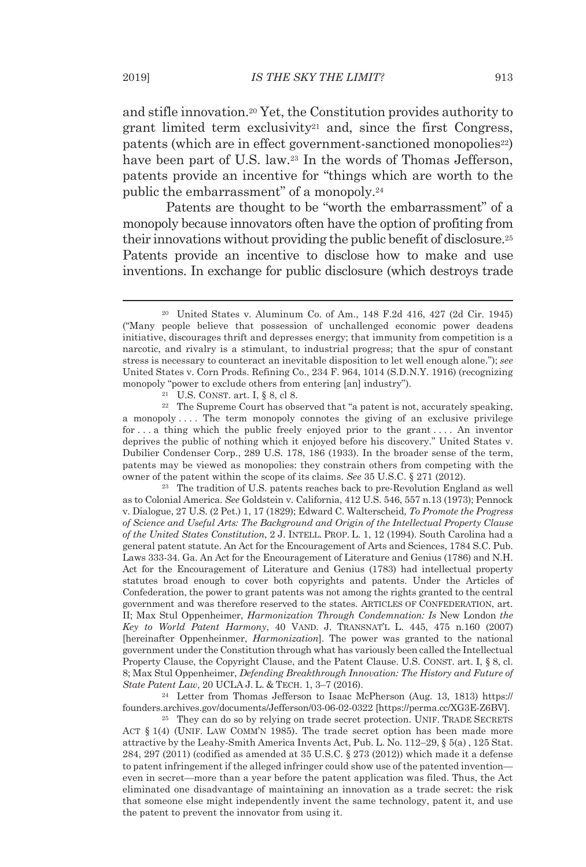and stifle innovation.20 Yet, the Constitution provides authority to grant limited term exclusivity<sup>21</sup> and, since the first Congress, patents (which are in effect government-sanctioned monopolies<sup>22</sup>) have been part of U.S. law.<sup>23</sup> In the words of Thomas Jefferson, patents provide an incentive for "things which are worth to the public the embarrassment" of a monopoly.<sup>24</sup>

Patents are thought to be "worth the embarrassment" of a monopoly because innovators often have the option of profiting from their innovations without providing the public benefit of disclosure.25 Patents provide an incentive to disclose how to make and use inventions. In exchange for public disclosure (which destroys trade

a monopoly . . . . The term monopoly connotes the giving of an exclusive privilege for . . . a thing which the public freely enjoyed prior to the grant . . . . An inventor deprives the public of nothing which it enjoyed before his discovery." United States v. Dubilier Condenser Corp., 289 U.S. 178, 186 (1933). In the broader sense of the term, patents may be viewed as monopolies: they constrain others from competing with the owner of the patent within the scope of its claims. *See* 35 U.S.C. § 271 (2012). 23 The tradition of U.S. patents reaches back to pre-Revolution England as well

as to Colonial America. *See* Goldstein v. California, 412 U.S. 546, 557 n.13 (1973); Pennock v. Dialogue, 27 U.S. (2 Pet.) 1, 17 (1829); Edward C. Walterscheid, *To Promote the Progress of Science and Useful Arts: The Background and Origin of the Intellectual Property Clause of the United States Constitution*, 2 J. INTELL. PROP. L. 1, 12 (1994). South Carolina had a general patent statute. An Act for the Encouragement of Arts and Sciences, 1784 S.C. Pub. Laws 333-34. Ga. An Act for the Encouragement of Literature and Genius (1786) and N.H. Act for the Encouragement of Literature and Genius (1783) had intellectual property statutes broad enough to cover both copyrights and patents. Under the Articles of Confederation, the power to grant patents was not among the rights granted to the central government and was therefore reserved to the states. ARTICLES OF CONFEDERATION, art. II; Max Stul Oppenheimer, *Harmonization Through Condemnation: Is* New London *the Key to World Patent Harmony*, 40 VAND. J. TRANSNAT'L L. 445, 475 n.160 (2007) [hereinafter Oppenheinmer, *Harmonization*]. The power was granted to the national government under the Constitution through what has variously been called the Intellectual Property Clause, the Copyright Clause, and the Patent Clause. U.S. CONST. art. I, § 8, cl. 8; Max Stul Oppenheimer, *Defending Breakthrough Innovation: The History and Future of State Patent Law*, 20 UCLA J. L. & TECH. 1, 3–7 (2016).<br><sup>24</sup> Letter from Thomas Jefferson to Isaac McPherson (Aug. 13, 1813) https://

founders.archives.gov/documents/Jefferson/03-06-02-0322 [https://perma.cc/XG3E-Z6BV]. 25 They can do so by relying on trade secret protection. UNIF. TRADE SECRETS

ACT § 1(4) (UNIF. LAW COMM'N 1985). The trade secret option has been made more attractive by the Leahy-Smith America Invents Act, Pub. L. No. 112–29, § 5(a) , 125 Stat. 284, 297 (2011) (codified as amended at 35 U.S.C. § 273 (2012)) which made it a defense to patent infringement if the alleged infringer could show use of the patented invention even in secret—more than a year before the patent application was filed. Thus, the Act eliminated one disadvantage of maintaining an innovation as a trade secret: the risk that someone else might independently invent the same technology, patent it, and use the patent to prevent the innovator from using it.

<sup>20</sup> United States v. Aluminum Co. of Am., 148 F.2d 416, 427 (2d Cir. 1945) ("Many people believe that possession of unchallenged economic power deadens initiative, discourages thrift and depresses energy; that immunity from competition is a narcotic, and rivalry is a stimulant, to industrial progress; that the spur of constant stress is necessary to counteract an inevitable disposition to let well enough alone."); *see* United States v. Corn Prods. Refining Co., 234 F. 964, 1014 (S.D.N.Y. 1916) (recognizing monopoly "power to exclude others from entering [an] industry").<br><sup>21</sup> U.S. CONST. art. I, § 8, cl 8.<br><sup>22</sup> The Supreme Court has observed that "a patent is not, accurately speaking,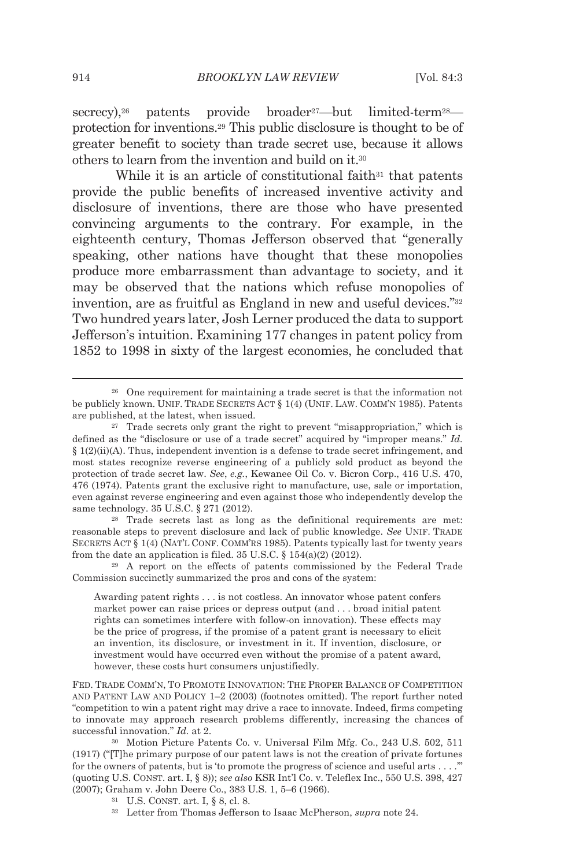secrecy),<sup>26</sup> patents provide broader<sup>27</sup>—but limited-term<sup>28</sup> protection for inventions.29 This public disclosure is thought to be of greater benefit to society than trade secret use, because it allows others to learn from the invention and build on it.30

While it is an article of constitutional faith $31$  that patents provide the public benefits of increased inventive activity and disclosure of inventions, there are those who have presented convincing arguments to the contrary. For example, in the eighteenth century, Thomas Jefferson observed that "generally speaking, other nations have thought that these monopolies produce more embarrassment than advantage to society, and it may be observed that the nations which refuse monopolies of invention, are as fruitful as England in new and useful devices."32 Two hundred years later, Josh Lerner produced the data to support Jefferson's intuition. Examining 177 changes in patent policy from 1852 to 1998 in sixty of the largest economies, he concluded that

reasonable steps to prevent disclosure and lack of public knowledge. *See* UNIF. TRADE SECRETS ACT § 1(4) (NAT'L CONF. COMM'RS 1985). Patents typically last for twenty years from the date an application is filed. 35 U.S.C. § 154(a)(2) (2012).<br><sup>29</sup> A report on the effects of patents commissioned by the Federal Trade

Commission succinctly summarized the pros and cons of the system:

Awarding patent rights . . . is not costless. An innovator whose patent confers market power can raise prices or depress output (and . . . broad initial patent rights can sometimes interfere with follow-on innovation). These effects may be the price of progress, if the promise of a patent grant is necessary to elicit an invention, its disclosure, or investment in it. If invention, disclosure, or investment would have occurred even without the promise of a patent award, however, these costs hurt consumers unjustifiedly.

FED. TRADE COMM'N, TO PROMOTE INNOVATION: THE PROPER BALANCE OF COMPETITION AND PATENT LAW AND POLICY 1–2 (2003) (footnotes omitted). The report further noted "competition to win a patent right may drive a race to innovate. Indeed, firms competing to innovate may approach research problems differently, increasing the chances of successful innovation." *Id.* at 2.<br><sup>30</sup> Motion Picture Patents Co. v. Universal Film Mfg. Co., 243 U.S. 502, 511

<sup>26</sup> One requirement for maintaining a trade secret is that the information not be publicly known. UNIF. TRADE SECRETS ACT § 1(4) (UNIF. LAW. COMM'N 1985). Patents are published, at the latest, when issued.<br><sup>27</sup> Trade secrets only grant the right to prevent "misappropriation," which is

defined as the "disclosure or use of a trade secret" acquired by "improper means." *Id.*  $§$  1(2)(ii)(A). Thus, independent invention is a defense to trade secret infringement, and most states recognize reverse engineering of a publicly sold product as beyond the protection of trade secret law. *See*, *e.g.*, Kewanee Oil Co. v. Bicron Corp., 416 U.S. 470, 476 (1974). Patents grant the exclusive right to manufacture, use, sale or importation, even against reverse engineering and even against those who independently develop the same technology. 35 U.S.C. § 271 (2012).<br><sup>28</sup> Trade secrets last as long as the definitional requirements are met:

<sup>(1917) (&</sup>quot;[T]he primary purpose of our patent laws is not the creation of private fortunes for the owners of patents, but is 'to promote the progress of science and useful arts . . . .'" (quoting U.S. CONST. art. I, § 8)); *see also* KSR Int'l Co. v. Teleflex Inc., 550 U.S. 398, 427 (2007); Graham v. John Deere Co., 383 U.S. 1, 5–6 (1966). 31 U.S. CONST. art. I, § 8, cl. 8. 32 Letter from Thomas Jefferson to Isaac McPherson, *supra* note 24.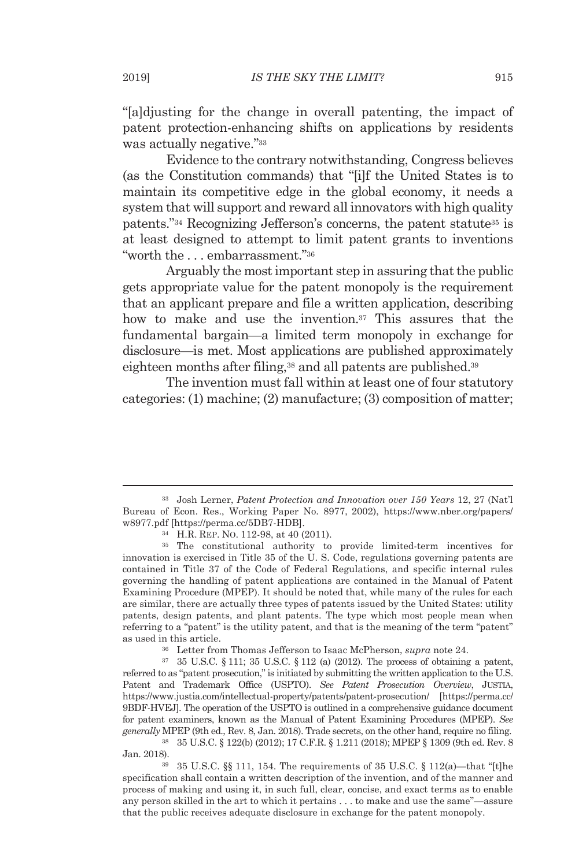"[a]djusting for the change in overall patenting, the impact of patent protection-enhancing shifts on applications by residents was actually negative."<sup>33</sup>

Evidence to the contrary notwithstanding, Congress believes (as the Constitution commands) that "[i]f the United States is to maintain its competitive edge in the global economy, it needs a system that will support and reward all innovators with high quality patents."34 Recognizing Jefferson's concerns, the patent statute35 is at least designed to attempt to limit patent grants to inventions "worth the . . . embarrassment."36

Arguably the most important step in assuring that the public gets appropriate value for the patent monopoly is the requirement that an applicant prepare and file a written application, describing how to make and use the invention.<sup>37</sup> This assures that the fundamental bargain—a limited term monopoly in exchange for disclosure—is met. Most applications are published approximately eighteen months after filing,<sup>38</sup> and all patents are published.<sup>39</sup>

The invention must fall within at least one of four statutory categories: (1) machine; (2) manufacture; (3) composition of matter;

referred to as "patent prosecution," is initiated by submitting the written application to the U.S. Patent and Trademark Office (USPTO). *See Patent Prosecution Overview*, JUSTIA, https://www.justia.com/intellectual-property/patents/patent-prosecution/ [https://perma.cc/ 9BDF-HVEJ]. The operation of the USPTO is outlined in a comprehensive guidance document for patent examiners, known as the Manual of Patent Examining Procedures (MPEP). *See generally* MPEP (9th ed., Rev. 8, Jan. 2018). Trade secrets, on the other hand, require no filing.

38 35 U.S.C. § 122(b) (2012); 17 C.F.R. § 1.211 (2018); MPEP § 1309 (9th ed. Rev. 8 Jan. 2018). 39 35 U.S.C. §§ 111, 154. The requirements of 35 U.S.C. § 112(a)—that "[t]he

specification shall contain a written description of the invention, and of the manner and process of making and using it, in such full, clear, concise, and exact terms as to enable any person skilled in the art to which it pertains . . . to make and use the same"—assure that the public receives adequate disclosure in exchange for the patent monopoly.

<sup>33</sup> Josh Lerner, *Patent Protection and Innovation over 150 Years* 12, 27 (Nat'l Bureau of Econ. Res., Working Paper No. 8977, 2002), https://www.nber.org/papers/ w8977.pdf [https://perma.cc/5DB7-HDB].<br><sup>34</sup> H.R. REP. NO. 112-98, at 40 (2011).<br><sup>35</sup> The constitutional authority to provide limited-term incentives for

innovation is exercised in Title 35 of the U. S. Code, regulations governing patents are contained in Title 37 of the Code of Federal Regulations, and specific internal rules governing the handling of patent applications are contained in the Manual of Patent Examining Procedure (MPEP). It should be noted that, while many of the rules for each are similar, there are actually three types of patents issued by the United States: utility patents, design patents, and plant patents. The type which most people mean when referring to a "patent" is the utility patent, and that is the meaning of the term "patent" as used in this article.<br><sup>36</sup> Letter from Thomas Jefferson to Isaac McPherson, *supra* note 24.<br><sup>37</sup> 35 U.S.C. § 111; 35 U.S.C. § 112 (a) (2012). The process of obtaining a patent,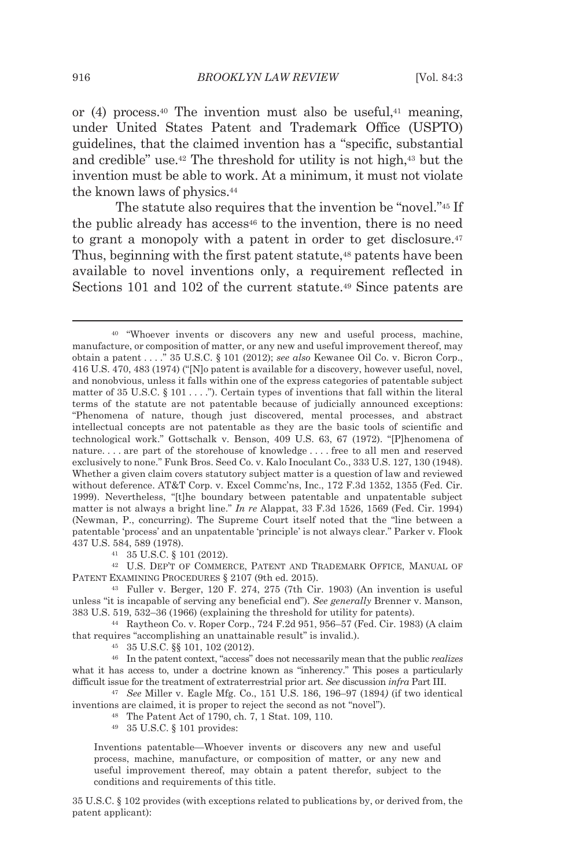or  $(4)$  process.<sup>40</sup> The invention must also be useful,<sup>41</sup> meaning, under United States Patent and Trademark Office (USPTO) guidelines, that the claimed invention has a "specific, substantial and credible" use.42 The threshold for utility is not high,43 but the invention must be able to work. At a minimum, it must not violate the known laws of physics.44

The statute also requires that the invention be "novel."45 If the public already has access<sup>46</sup> to the invention, there is no need to grant a monopoly with a patent in order to get disclosure.<sup>47</sup> Thus, beginning with the first patent statute,<sup>48</sup> patents have been available to novel inventions only, a requirement reflected in Sections 101 and 102 of the current statute.49 Since patents are

42 U.S. DEP'T OF COMMERCE, PATENT AND TRADEMARK OFFICE, MANUAL OF PATENT EXAMINING PROCEDURES § 2107 (9th ed. 2015).<br><sup>43</sup> Fuller v. Berger, 120 F. 274, 275 (7th Cir. 1903) (An invention is useful

unless "it is incapable of serving any beneficial end"). *See generally* Brenner v. Manson, 383 U.S. 519, 532–36 (1966) (explaining the threshold for utility for patents). 44 Raytheon Co. v. Roper Corp., 724 F.2d 951, 956–57 (Fed. Cir. 1983) (A claim

that requires "accomplishing an unattainable result" is invalid.).  $^{45}$  35 U.S.C. §§ 101, 102 (2012).

46 In the patent context, "access" does not necessarily mean that the public *realizes* what it has access to, under a doctrine known as "inherency." This poses a particularly difficult issue for the treatment of extraterrestrial prior art. *See* discussion *infra* Part III. 47 *See* Miller v. Eagle Mfg. Co., 151 U.S. 186, 196–97 (1894*)* (if two identical

inventions are claimed, it is proper to reject the second as not "novel"). 48 The Patent Act of 1790, ch. 7, 1 Stat. 109, 110.

49 35 U.S.C. § 101 provides:

Inventions patentable—Whoever invents or discovers any new and useful process, machine, manufacture, or composition of matter, or any new and useful improvement thereof, may obtain a patent therefor, subject to the conditions and requirements of this title.

35 U.S.C. § 102 provides (with exceptions related to publications by, or derived from, the patent applicant):

<sup>40 &</sup>quot;Whoever invents or discovers any new and useful process, machine, manufacture, or composition of matter, or any new and useful improvement thereof, may obtain a patent . . . ." 35 U.S.C. § 101 (2012); *see also* Kewanee Oil Co. v. Bicron Corp., 416 U.S. 470, 483 (1974) ("[N]o patent is available for a discovery, however useful, novel, and nonobvious, unless it falls within one of the express categories of patentable subject matter of 35 U.S.C. § 101 . . . ."). Certain types of inventions that fall within the literal terms of the statute are not patentable because of judicially announced exceptions: "Phenomena of nature, though just discovered, mental processes, and abstract intellectual concepts are not patentable as they are the basic tools of scientific and technological work." Gottschalk v. Benson, 409 U.S. 63, 67 (1972). "[P]henomena of nature. . . . are part of the storehouse of knowledge . . . . free to all men and reserved exclusively to none." Funk Bros. Seed Co. v. Kalo Inoculant Co., 333 U.S. 127, 130 (1948). Whether a given claim covers statutory subject matter is a question of law and reviewed without deference. AT&T Corp. v. Excel Commc'ns, Inc., 172 F.3d 1352, 1355 (Fed. Cir. 1999). Nevertheless, "[t]he boundary between patentable and unpatentable subject matter is not always a bright line." *In re* Alappat, 33 F.3d 1526, 1569 (Fed. Cir. 1994) (Newman, P., concurring). The Supreme Court itself noted that the "line between a patentable 'process' and an unpatentable 'principle' is not always clear." Parker v. Flook 437 U.S. 584, 589 (1978). 41 35 U.S.C. § 101 (2012).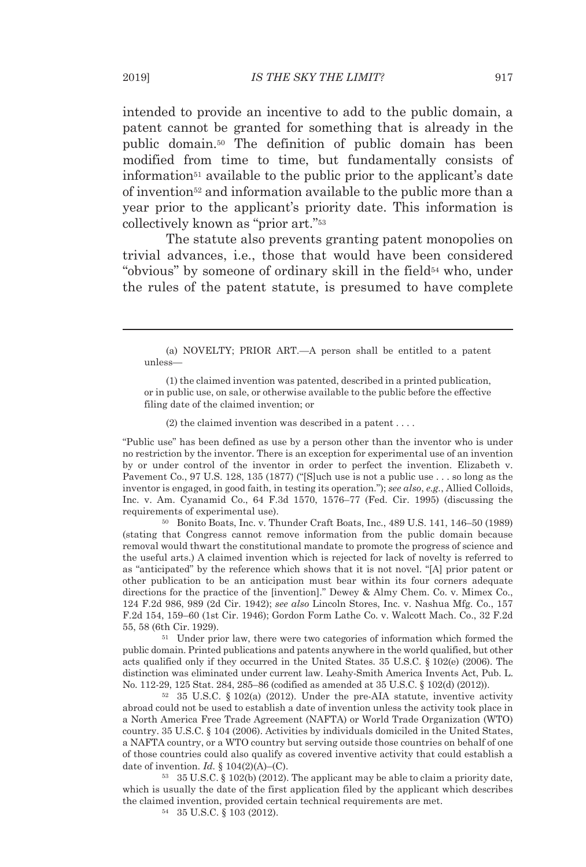intended to provide an incentive to add to the public domain, a patent cannot be granted for something that is already in the public domain.50 The definition of public domain has been modified from time to time, but fundamentally consists of information51 available to the public prior to the applicant's date of invention52 and information available to the public more than a year prior to the applicant's priority date. This information is collectively known as "prior art."53

The statute also prevents granting patent monopolies on trivial advances, i.e., those that would have been considered "obvious" by someone of ordinary skill in the field<sup>54</sup> who, under the rules of the patent statute, is presumed to have complete

 (a) NOVELTY; PRIOR ART.—A person shall be entitled to a patent unless—

 (1) the claimed invention was patented, described in a printed publication, or in public use, on sale, or otherwise available to the public before the effective filing date of the claimed invention; or

(2) the claimed invention was described in a patent . . . .

"Public use" has been defined as use by a person other than the inventor who is under no restriction by the inventor. There is an exception for experimental use of an invention by or under control of the inventor in order to perfect the invention. Elizabeth v. Pavement Co., 97 U.S. 128, 135 (1877) ("[S]uch use is not a public use . . . so long as the inventor is engaged, in good faith, in testing its operation."); *see also*, *e.g.*, Allied Colloids, Inc. v. Am. Cyanamid Co., 64 F.3d 1570, 1576–77 (Fed. Cir. 1995) (discussing the requirements of experimental use). 50 Bonito Boats, Inc. v. Thunder Craft Boats, Inc., 489 U.S. 141, 146–50 (1989)

(stating that Congress cannot remove information from the public domain because removal would thwart the constitutional mandate to promote the progress of science and the useful arts.) A claimed invention which is rejected for lack of novelty is referred to as "anticipated" by the reference which shows that it is not novel. "[A] prior patent or other publication to be an anticipation must bear within its four corners adequate directions for the practice of the [invention]." Dewey & Almy Chem. Co. v. Mimex Co., 124 F.2d 986, 989 (2d Cir. 1942); *see also* Lincoln Stores, Inc. v. Nashua Mfg. Co., 157 F.2d 154, 159–60 (1st Cir. 1946); Gordon Form Lathe Co. v. Walcott Mach. Co., 32 F.2d 55, 58 (6th Cir. 1929). 51 Under prior law, there were two categories of information which formed the

public domain. Printed publications and patents anywhere in the world qualified, but other acts qualified only if they occurred in the United States. 35 U.S.C. § 102(e) (2006). The distinction was eliminated under current law. Leahy-Smith America Invents Act, Pub. L. No. 112-29, 125 Stat. 284, 285–86 (codified as amended at 35 U.S.C. § 102(d) (2012)). 52 35 U.S.C. § 102(a) (2012). Under the pre-AIA statute, inventive activity

abroad could not be used to establish a date of invention unless the activity took place in a North America Free Trade Agreement (NAFTA) or World Trade Organization (WTO) country. 35 U.S.C. § 104 (2006). Activities by individuals domiciled in the United States, a NAFTA country, or a WTO country but serving outside those countries on behalf of one of those countries could also qualify as covered inventive activity that could establish a date of invention. *Id.*  $\S$  104(2)(A)–(C).<br><sup>53</sup> 35 U.S.C.  $\S$  102(b) (2012). The applicant may be able to claim a priority date,

which is usually the date of the first application filed by the applicant which describes the claimed invention, provided certain technical requirements are met.  $54 \quad 35 \text{ U.S.C.} \$  103 (2012).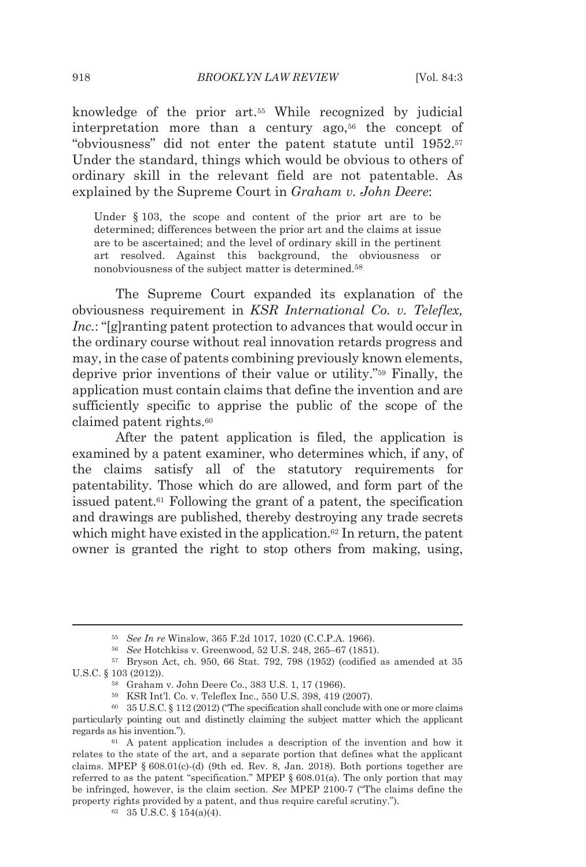knowledge of the prior art.55 While recognized by judicial interpretation more than a century ago,<sup>56</sup> the concept of "obviousness" did not enter the patent statute until 1952.57 Under the standard, things which would be obvious to others of ordinary skill in the relevant field are not patentable. As explained by the Supreme Court in *Graham v. John Deere*:

Under §103, the scope and content of the prior art are to be determined; differences between the prior art and the claims at issue are to be ascertained; and the level of ordinary skill in the pertinent art resolved. Against this background, the obviousness or nonobviousness of the subject matter is determined.58

The Supreme Court expanded its explanation of the obviousness requirement in *KSR International Co. v. Teleflex, Inc.*: "[g]ranting patent protection to advances that would occur in the ordinary course without real innovation retards progress and may, in the case of patents combining previously known elements, deprive prior inventions of their value or utility."59 Finally, the application must contain claims that define the invention and are sufficiently specific to apprise the public of the scope of the claimed patent rights.60

After the patent application is filed, the application is examined by a patent examiner, who determines which, if any, of the claims satisfy all of the statutory requirements for patentability. Those which do are allowed, and form part of the issued patent.61 Following the grant of a patent, the specification and drawings are published, thereby destroying any trade secrets which might have existed in the application.<sup>62</sup> In return, the patent owner is granted the right to stop others from making, using,

<sup>55</sup> *See In re* Winslow, 365 F.2d 1017, 1020 (C.C.P.A. 1966). 56 *See* Hotchkiss v. Greenwood, 52 U.S. 248, 265–67 (1851). 57 Bryson Act, ch. 950, 66 Stat. 792, 798 (1952) (codified as amended at 35 U.S.C. § 103 (2012)). 58 Graham v. John Deere Co., 383 U.S. 1, 17 (1966). 59 KSR Int'l. Co. v. Teleflex Inc., 550 U.S. 398, 419 (2007).

<sup>60 35</sup> U.S.C. § 112 (2012) ("The specification shall conclude with one or more claims particularly pointing out and distinctly claiming the subject matter which the applicant regards as his invention."). 61 A patent application includes a description of the invention and how it

relates to the state of the art, and a separate portion that defines what the applicant claims. MPEP  $\S 608.01(c)$ -(d) (9th ed. Rev. 8, Jan. 2018). Both portions together are referred to as the patent "specification." MPEP  $\S$  608.01(a). The only portion that may be infringed, however, is the claim section. *See* MPEP 2100-7 ("The claims define the property rights provided by a patent, and thus require careful scrutiny.").  $62 \quad 35 \text{ U.S.C.} \text{ } 154(a)(4)$ .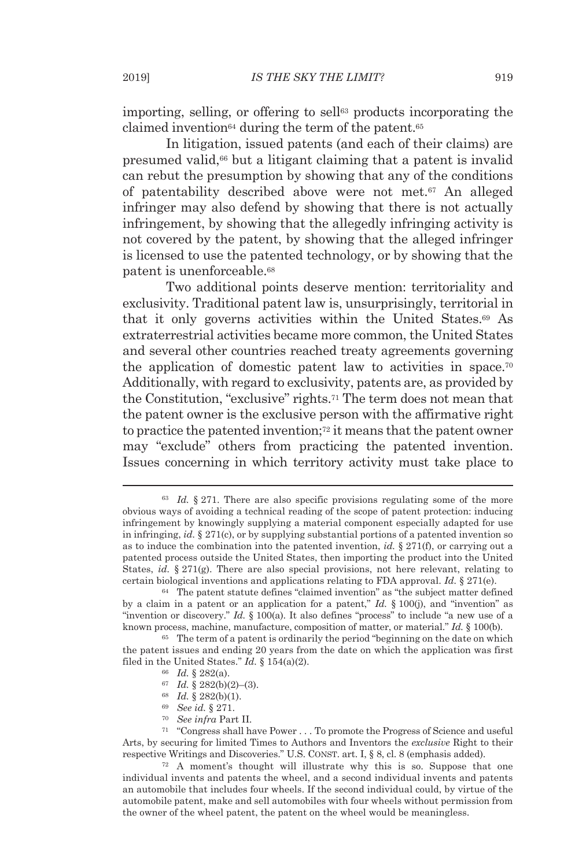importing, selling, or offering to sell<sup>63</sup> products incorporating the claimed invention<sup>64</sup> during the term of the patent.<sup>65</sup>

In litigation, issued patents (and each of their claims) are presumed valid,66 but a litigant claiming that a patent is invalid can rebut the presumption by showing that any of the conditions of patentability described above were not met.67 An alleged infringer may also defend by showing that there is not actually infringement, by showing that the allegedly infringing activity is not covered by the patent, by showing that the alleged infringer is licensed to use the patented technology, or by showing that the patent is unenforceable.68

Two additional points deserve mention: territoriality and exclusivity. Traditional patent law is, unsurprisingly, territorial in that it only governs activities within the United States.69 As extraterrestrial activities became more common, the United States and several other countries reached treaty agreements governing the application of domestic patent law to activities in space.70 Additionally, with regard to exclusivity, patents are, as provided by the Constitution, "exclusive" rights.71 The term does not mean that the patent owner is the exclusive person with the affirmative right to practice the patented invention;72 it means that the patent owner may "exclude" others from practicing the patented invention. Issues concerning in which territory activity must take place to

the patent issues and ending 20 years from the date on which the application was first filed in the United States." *Id.* § 154(a)(2).<br>
<sup>66</sup> *Id.* § 282(a).<br>
<sup>67</sup> *Id.* § 282(b)(2)–(3).<br>
<sup>68</sup> *Id.* § 282(b)(1).<br>
<sup>69</sup> *See id.* § 271.<br>
<sup>70</sup> *See infra* Part II.

- 
- 
- 
- 
- 

71 "Congress shall have Power . . . To promote the Progress of Science and useful Arts, by securing for limited Times to Authors and Inventors the *exclusive* Right to their respective Writings and Discoveries." U.S. CONST. art. I, § 8, cl. 8 (emphasis added).<br><sup>72</sup> A moment's thought will illustrate why this is so. Suppose that one

individual invents and patents the wheel, and a second individual invents and patents an automobile that includes four wheels. If the second individual could, by virtue of the automobile patent, make and sell automobiles with four wheels without permission from the owner of the wheel patent, the patent on the wheel would be meaningless.

<sup>63</sup> *Id.* § 271. There are also specific provisions regulating some of the more obvious ways of avoiding a technical reading of the scope of patent protection: inducing infringement by knowingly supplying a material component especially adapted for use in infringing, *id.* § 271(c), or by supplying substantial portions of a patented invention so as to induce the combination into the patented invention, *id.* § 271(f), or carrying out a patented process outside the United States, then importing the product into the United States, *id.*  $\S 271(g)$ . There are also special provisions, not here relevant, relating to certain biological inventions and applications relating to FDA approval. *Id.* § 271(e). <sup>64</sup> The patent statute defines "claimed invention" as "the subject matter defined

by a claim in a patent or an application for a patent," *Id.* § 100(j), and "invention" as "invention or discovery." *Id.* § 100(a). It also defines "process" to include "a new use of a known process, machine, manufacture, composition of matter, or material." *Id.* § 100(b).<br><sup>65</sup> The term of a patent is ordinarily the period "beginning on the date on which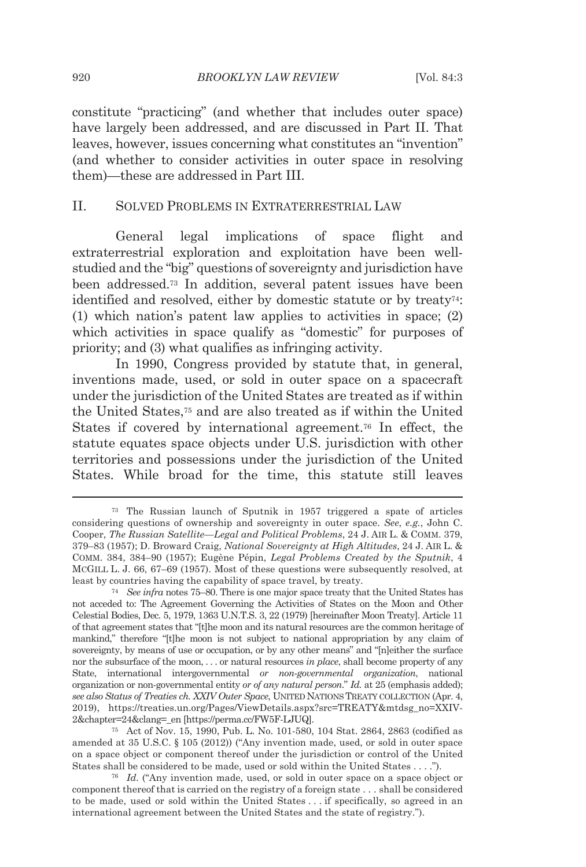constitute "practicing" (and whether that includes outer space) have largely been addressed, and are discussed in Part II. That leaves, however, issues concerning what constitutes an "invention" (and whether to consider activities in outer space in resolving them)—these are addressed in Part III.

#### II. SOLVED PROBLEMS IN EXTRATERRESTRIAL LAW

General legal implications of space flight and extraterrestrial exploration and exploitation have been wellstudied and the "big" questions of sovereignty and jurisdiction have been addressed.73 In addition, several patent issues have been identified and resolved, either by domestic statute or by treaty74: (1) which nation's patent law applies to activities in space; (2) which activities in space qualify as "domestic" for purposes of priority; and (3) what qualifies as infringing activity.

In 1990, Congress provided by statute that, in general, inventions made, used, or sold in outer space on a spacecraft under the jurisdiction of the United States are treated as if within the United States,75 and are also treated as if within the United States if covered by international agreement.<sup>76</sup> In effect, the statute equates space objects under U.S. jurisdiction with other territories and possessions under the jurisdiction of the United States. While broad for the time, this statute still leaves

<sup>73</sup> The Russian launch of Sputnik in 1957 triggered a spate of articles considering questions of ownership and sovereignty in outer space. *See*, *e.g.*, John C. Cooper, *The Russian Satellite—Legal and Political Problems*, 24 J. AIR L. & COMM. 379, 379–83 (1957); D. Broward Craig, *National Sovereignty at High Altitudes*, 24 J. AIR L. & COMM. 384, 384–90 (1957); Eugène Pépin, *Legal Problems Created by the Sputnik*, 4 MCGILL L. J. 66, 67–69 (1957). Most of these questions were subsequently resolved, at least by countries having the capability of space travel, by treaty. 74 *See infra* notes 75–80. There is one major space treaty that the United States has

not acceded to: The Agreement Governing the Activities of States on the Moon and Other Celestial Bodies, Dec. 5, 1979, 1363 U.N.T.S. 3, 22 (1979) [hereinafter Moon Treaty]. Article 11 of that agreement states that "[t]he moon and its natural resources are the common heritage of mankind," therefore "[t]he moon is not subject to national appropriation by any claim of sovereignty, by means of use or occupation, or by any other means" and "[n]either the surface nor the subsurface of the moon, . . . or natural resources *in place*, shall become property of any State, international intergovernmental *or non-governmental organization*, national organization or non-governmental entity *or of any natural person*." *Id.* at 25 (emphasis added); *see also Status of Treaties ch. XXIV Outer Space*, UNITED NATIONS TREATY COLLECTION (Apr. 4, 2019), https://treaties.un.org/Pages/ViewDetails.aspx?src=TREATY&mtdsg\_no=XXIV-2&chapter=24&clang=\_en [https://perma.cc/FW5F-LJUQ]. 75 Act of Nov. 15, 1990, Pub. L. No. 101-580, 104 Stat. 2864, 2863 (codified as

amended at 35 U.S.C. § 105 (2012)) ("Any invention made, used, or sold in outer space on a space object or component thereof under the jurisdiction or control of the United States shall be considered to be made, used or sold within the United States . . . ."). 76 *Id.* ("Any invention made, used, or sold in outer space on a space object or

component thereof that is carried on the registry of a foreign state . . . shall be considered to be made, used or sold within the United States . . . if specifically, so agreed in an international agreement between the United States and the state of registry.").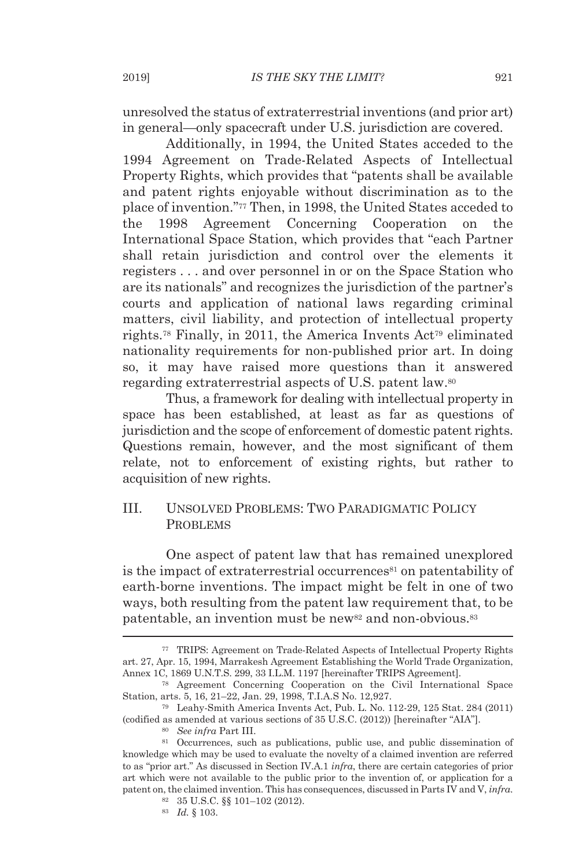unresolved the status of extraterrestrial inventions (and prior art) in general—only spacecraft under U.S. jurisdiction are covered.

Additionally, in 1994, the United States acceded to the 1994 Agreement on Trade-Related Aspects of Intellectual Property Rights, which provides that "patents shall be available and patent rights enjoyable without discrimination as to the place of invention."77 Then, in 1998, the United States acceded to the 1998 Agreement Concerning Cooperation on the International Space Station, which provides that "each Partner shall retain jurisdiction and control over the elements it registers . . . and over personnel in or on the Space Station who are its nationals" and recognizes the jurisdiction of the partner's courts and application of national laws regarding criminal matters, civil liability, and protection of intellectual property rights.<sup>78</sup> Finally, in 2011, the America Invents Act<sup>79</sup> eliminated nationality requirements for non-published prior art. In doing so, it may have raised more questions than it answered regarding extraterrestrial aspects of U.S. patent law.80

Thus, a framework for dealing with intellectual property in space has been established, at least as far as questions of jurisdiction and the scope of enforcement of domestic patent rights. Questions remain, however, and the most significant of them relate, not to enforcement of existing rights, but rather to acquisition of new rights.

## III. UNSOLVED PROBLEMS: TWO PARADIGMATIC POLICY PROBLEMS

One aspect of patent law that has remained unexplored is the impact of extraterrestrial occurrences<sup>81</sup> on patentability of earth-borne inventions. The impact might be felt in one of two ways, both resulting from the patent law requirement that, to be patentable, an invention must be new<sup>82</sup> and non-obvious.<sup>83</sup>

<sup>77</sup> TRIPS: Agreement on Trade-Related Aspects of Intellectual Property Rights art. 27, Apr. 15, 1994, Marrakesh Agreement Establishing the World Trade Organization, Annex 1C, 1869 U.N.T.S. 299, 33 I.L.M. 1197 [hereinafter TRIPS Agreement]. 78 Agreement Concerning Cooperation on the Civil International Space

Station, arts. 5, 16, 21–22, Jan. 29, 1998, T.I.A.S No. 12,927. 79 Leahy-Smith America Invents Act, Pub. L. No. 112-29, 125 Stat. 284 (2011)

<sup>(</sup>codified as amended at various sections of 35 U.S.C. (2012)) [hereinafter "AIA"]. 80 *See infra* Part III. 81 Occurrences, such as publications, public use, and public dissemination of

knowledge which may be used to evaluate the novelty of a claimed invention are referred to as "prior art." As discussed in Section IV.A.1 *infra*, there are certain categories of prior art which were not available to the public prior to the invention of, or application for a patent on, the claimed invention. This has consequences, discussed in Parts IV and V, *infra*. 82 35 U.S.C. §§ 101–102 (2012).

<sup>83</sup> *Id.* § 103.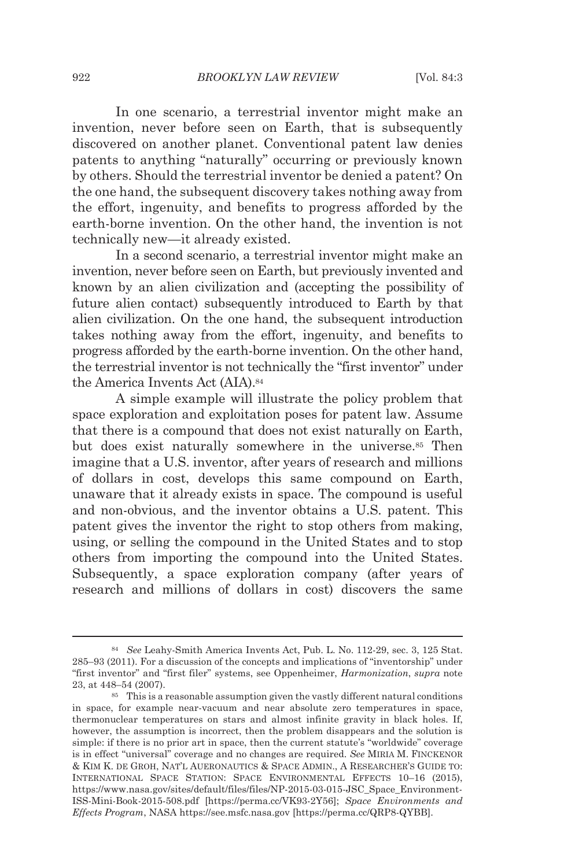In one scenario, a terrestrial inventor might make an invention, never before seen on Earth, that is subsequently discovered on another planet. Conventional patent law denies patents to anything "naturally" occurring or previously known by others. Should the terrestrial inventor be denied a patent? On the one hand, the subsequent discovery takes nothing away from the effort, ingenuity, and benefits to progress afforded by the earth-borne invention. On the other hand, the invention is not technically new—it already existed.

In a second scenario, a terrestrial inventor might make an invention, never before seen on Earth, but previously invented and known by an alien civilization and (accepting the possibility of future alien contact) subsequently introduced to Earth by that alien civilization. On the one hand, the subsequent introduction takes nothing away from the effort, ingenuity, and benefits to progress afforded by the earth-borne invention. On the other hand, the terrestrial inventor is not technically the "first inventor" under the America Invents Act (AIA).84

A simple example will illustrate the policy problem that space exploration and exploitation poses for patent law. Assume that there is a compound that does not exist naturally on Earth, but does exist naturally somewhere in the universe.<sup>85</sup> Then imagine that a U.S. inventor, after years of research and millions of dollars in cost, develops this same compound on Earth, unaware that it already exists in space. The compound is useful and non-obvious, and the inventor obtains a U.S. patent. This patent gives the inventor the right to stop others from making, using, or selling the compound in the United States and to stop others from importing the compound into the United States. Subsequently, a space exploration company (after years of research and millions of dollars in cost) discovers the same

<sup>84</sup> *See* Leahy-Smith America Invents Act, Pub. L. No. 112-29, sec. 3, 125 Stat. 285–93 (2011). For a discussion of the concepts and implications of "inventorship" under "first inventor" and "first filer" systems, see Oppenheimer, *Harmonization*, *supra* note 23, at 448–54 (2007).<br><sup>85</sup> This is a reasonable assumption given the vastly different natural conditions

in space, for example near-vacuum and near absolute zero temperatures in space, thermonuclear temperatures on stars and almost infinite gravity in black holes. If, however, the assumption is incorrect, then the problem disappears and the solution is simple: if there is no prior art in space, then the current statute's "worldwide" coverage is in effect "universal" coverage and no changes are required. *See* MIRIA M. FINCKENOR & KIM K. DE GROH, NAT'L AUERONAUTICS & SPACE ADMIN., A RESEARCHER'S GUIDE TO: INTERNATIONAL SPACE STATION: SPACE ENVIRONMENTAL EFFECTS 10–16 (2015), https://www.nasa.gov/sites/default/files/files/NP-2015-03-015-JSC\_Space\_Environment-ISS-Mini-Book-2015-508.pdf [https://perma.cc/VK93-2Y56]; *Space Environments and Effects Program*, NASA https://see.msfc.nasa.gov [https://perma.cc/QRP8-QYBB].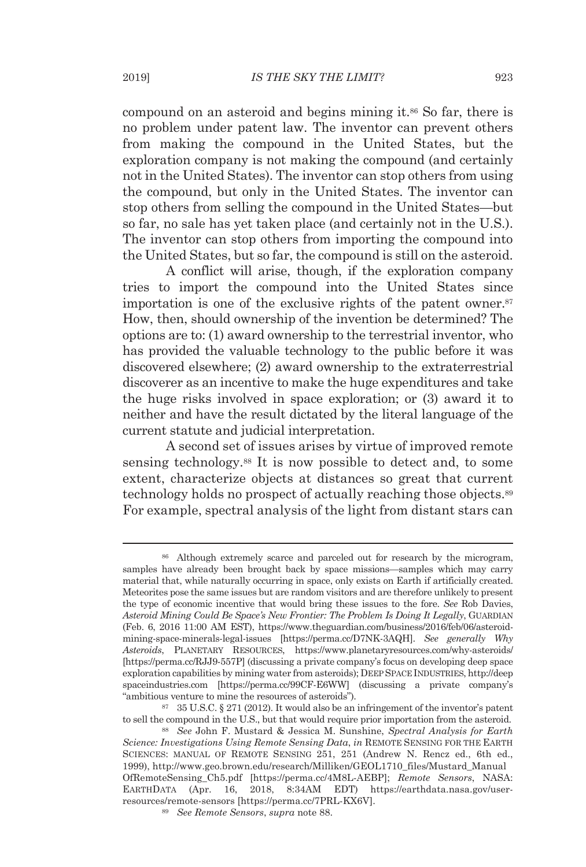compound on an asteroid and begins mining it.86 So far, there is no problem under patent law. The inventor can prevent others from making the compound in the United States, but the exploration company is not making the compound (and certainly not in the United States). The inventor can stop others from using the compound, but only in the United States. The inventor can stop others from selling the compound in the United States—but so far, no sale has yet taken place (and certainly not in the U.S.). The inventor can stop others from importing the compound into the United States, but so far, the compound is still on the asteroid.

A conflict will arise, though, if the exploration company tries to import the compound into the United States since importation is one of the exclusive rights of the patent owner.<sup>87</sup> How, then, should ownership of the invention be determined? The options are to: (1) award ownership to the terrestrial inventor, who has provided the valuable technology to the public before it was discovered elsewhere; (2) award ownership to the extraterrestrial discoverer as an incentive to make the huge expenditures and take the huge risks involved in space exploration; or (3) award it to neither and have the result dictated by the literal language of the current statute and judicial interpretation.

A second set of issues arises by virtue of improved remote sensing technology.<sup>88</sup> It is now possible to detect and, to some extent, characterize objects at distances so great that current technology holds no prospect of actually reaching those objects.89 For example, spectral analysis of the light from distant stars can

<sup>86</sup> Although extremely scarce and parceled out for research by the microgram, samples have already been brought back by space missions—samples which may carry material that, while naturally occurring in space, only exists on Earth if artificially created. Meteorites pose the same issues but are random visitors and are therefore unlikely to present the type of economic incentive that would bring these issues to the fore. *See* Rob Davies, *Asteroid Mining Could Be Space's New Frontier: The Problem Is Doing It Legally*, GUARDIAN (Feb. 6, 2016 11:00 AM EST), https://www.theguardian.com/business/2016/feb/06/asteroidmining-space-minerals-legal-issues [https://perma.cc/D7NK-3AQH]. *See generally Why Asteroids*, PLANETARY RESOURCES, https://www.planetaryresources.com/why-asteroids/ [https://perma.cc/RJJ9-557P] (discussing a private company's focus on developing deep space exploration capabilities by mining water from asteroids); DEEP SPACE INDUSTRIES, http://deep spaceindustries.com [https://perma.cc/99CF-E6WW] (discussing a private company's "ambitious venture to mine the resources of asteroids"). 87 35 U.S.C. § 271 (2012). It would also be an infringement of the inventor's patent

to sell the compound in the U.S., but that would require prior importation from the asteroid. 88 *See* John F. Mustard & Jessica M. Sunshine, *Spectral Analysis for Earth* 

*Science: Investigations Using Remote Sensing Data*, *in* REMOTE SENSING FOR THE EARTH SCIENCES: MANUAL OF REMOTE SENSING 251, 251 (Andrew N. Rencz ed., 6th ed., 1999), http://www.geo.brown.edu/research/Milliken/GEOL1710\_files/Mustard\_Manual OfRemoteSensing\_Ch5.pdf [https://perma.cc/4M8L-AEBP]; *Remote Sensors*, NASA: EARTHDATA (Apr. 16, 2018, 8:34AM EDT) https://earthdata.nasa.gov/userresources/remote-sensors [https://perma.cc/7PRL-KX6V]. 89 *See Remote Sensors*, *supra* note 88.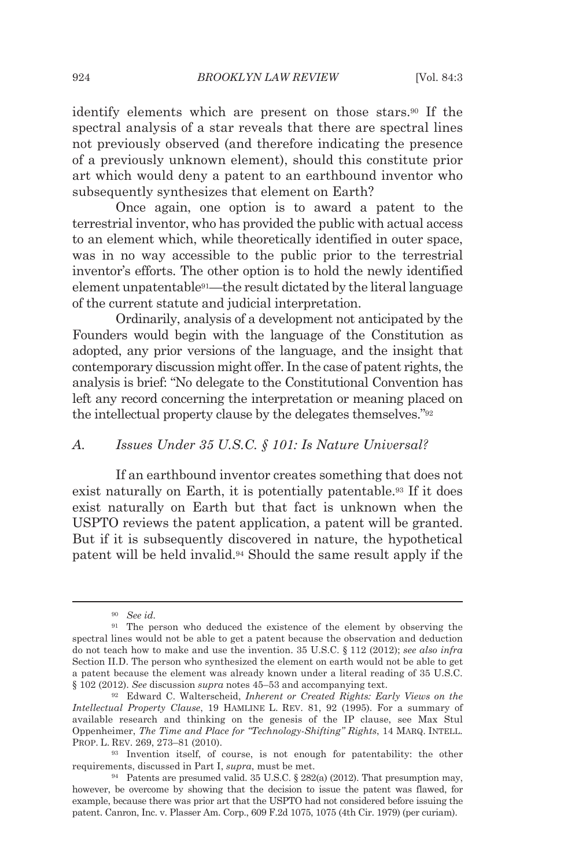identify elements which are present on those stars.90 If the spectral analysis of a star reveals that there are spectral lines not previously observed (and therefore indicating the presence of a previously unknown element), should this constitute prior art which would deny a patent to an earthbound inventor who subsequently synthesizes that element on Earth?

Once again, one option is to award a patent to the terrestrial inventor, who has provided the public with actual access to an element which, while theoretically identified in outer space, was in no way accessible to the public prior to the terrestrial inventor's efforts. The other option is to hold the newly identified element unpatentable91—the result dictated by the literal language of the current statute and judicial interpretation.

Ordinarily, analysis of a development not anticipated by the Founders would begin with the language of the Constitution as adopted, any prior versions of the language, and the insight that contemporary discussion might offer. In the case of patent rights, the analysis is brief: "No delegate to the Constitutional Convention has left any record concerning the interpretation or meaning placed on the intellectual property clause by the delegates themselves."92

# *A. Issues Under 35 U.S.C. § 101: Is Nature Universal?*

If an earthbound inventor creates something that does not exist naturally on Earth, it is potentially patentable.93 If it does exist naturally on Earth but that fact is unknown when the USPTO reviews the patent application, a patent will be granted. But if it is subsequently discovered in nature, the hypothetical patent will be held invalid.94 Should the same result apply if the

<sup>90</sup> *See id.*

<sup>&</sup>lt;sup>91</sup> The person who deduced the existence of the element by observing the spectral lines would not be able to get a patent because the observation and deduction do not teach how to make and use the invention. 35 U.S.C. § 112 (2012); *see also infra* Section II.D. The person who synthesized the element on earth would not be able to get a patent because the element was already known under a literal reading of 35 U.S.C. § 102 (2012). *See* discussion *supra* notes 45–53 and accompanying text. 92 Edward C. Walterscheid, *Inherent or Created Rights: Early Views on the* 

*Intellectual Property Clause*, 19 HAMLINE L. REV. 81, 92 (1995). For a summary of available research and thinking on the genesis of the IP clause, see Max Stul Oppenheimer, *The Time and Place for "Technology-Shifting" Rights*, 14 MARQ. INTELL. PROP. L. REV. 269, 273–81 (2010). 93 Invention itself, of course, is not enough for patentability: the other

requirements, discussed in Part I, *supra*, must be met.<br><sup>94</sup> Patents are presumed valid. 35 U.S.C. § 282(a) (2012). That presumption may,

however, be overcome by showing that the decision to issue the patent was flawed, for example, because there was prior art that the USPTO had not considered before issuing the patent. Canron, Inc. v. Plasser Am. Corp., 609 F.2d 1075, 1075 (4th Cir. 1979) (per curiam).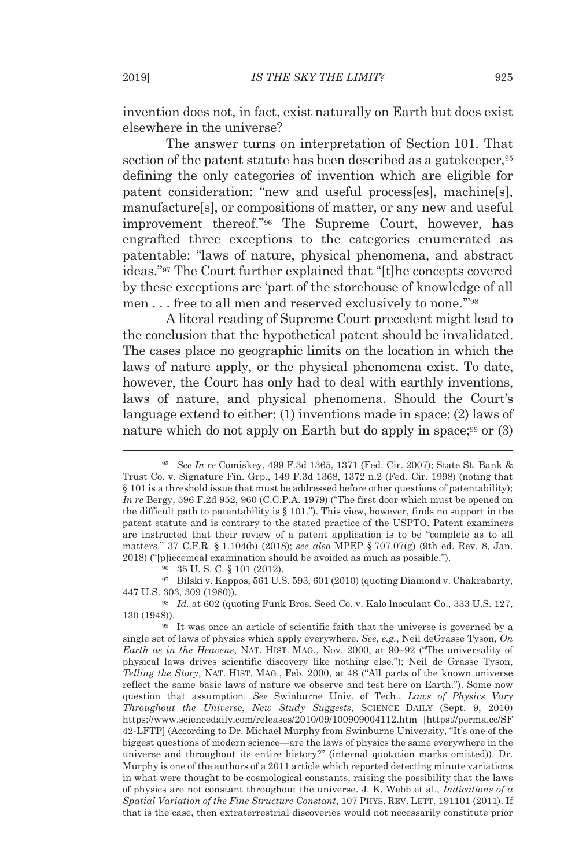invention does not, in fact, exist naturally on Earth but does exist elsewhere in the universe?

The answer turns on interpretation of Section 101. That section of the patent statute has been described as a gatekeeper,<sup>95</sup> defining the only categories of invention which are eligible for patent consideration: "new and useful process[es], machine[s], manufacture[s], or compositions of matter, or any new and useful improvement thereof."96 The Supreme Court, however, has engrafted three exceptions to the categories enumerated as patentable: "laws of nature, physical phenomena, and abstract ideas."97 The Court further explained that "[t]he concepts covered by these exceptions are 'part of the storehouse of knowledge of all men . . . free to all men and reserved exclusively to none.'"98

A literal reading of Supreme Court precedent might lead to the conclusion that the hypothetical patent should be invalidated. The cases place no geographic limits on the location in which the laws of nature apply, or the physical phenomena exist. To date, however, the Court has only had to deal with earthly inventions, laws of nature, and physical phenomena. Should the Court's language extend to either: (1) inventions made in space; (2) laws of nature which do not apply on Earth but do apply in space;<sup>99</sup> or (3)

97 Bilski v. Kappos, 561 U.S. 593, 601 (2010) (quoting Diamond v. Chakrabarty, 447 U.S. 303, 309 (1980)). 98 *Id.* at 602 (quoting Funk Bros. Seed Co. v. Kalo lnoculant Co., 333 U.S. 127,

130 (1948)).<br><sup>99</sup> It was once an article of scientific faith that the universe is governed by a

single set of laws of physics which apply everywhere. *See*, *e.g.*, Neil deGrasse Tyson, *On Earth as in the Heavens*, NAT. HIST. MAG., Nov. 2000, at 90–92 ("The universality of physical laws drives scientific discovery like nothing else."); Neil de Grasse Tyson, *Telling the Story*, NAT. HIST. MAG., Feb. 2000, at 48 ("All parts of the known universe reflect the same basic laws of nature we observe and test here on Earth."). Some now question that assumption. *See* Swinburne Univ. of Tech., *Laws of Physics Vary Throughout the Universe*, *New Study Suggests*, SCIENCE DAILY (Sept. 9, 2010) https://www.sciencedaily.com/releases/2010/09/100909004112.htm [https://perma.cc/SF 42-LFTP] (According to Dr. Michael Murphy from Swinburne University, "It's one of the biggest questions of modern science—are the laws of physics the same everywhere in the universe and throughout its entire history?" (internal quotation marks omitted)). Dr. Murphy is one of the authors of a 2011 article which reported detecting minute variations in what were thought to be cosmological constants, raising the possibility that the laws of physics are not constant throughout the universe. J. K. Webb et al., *Indications of a Spatial Variation of the Fine Structure Constant*, 107 PHYS. REV. LETT. 191101 (2011). If that is the case, then extraterrestrial discoveries would not necessarily constitute prior

<sup>95</sup> *See In re* Comiskey, 499 F.3d 1365, 1371 (Fed. Cir. 2007); State St. Bank & Trust Co. v. Signature Fin. Grp., 149 F.3d 1368, 1372 n.2 (Fed. Cir. 1998) (noting that § 101 is a threshold issue that must be addressed before other questions of patentability); *In re* Bergy, 596 F.2d 952, 960 (C.C.P.A. 1979) ("The first door which must be opened on the difficult path to patentability is  $\S 101$ ."). This view, however, finds no support in the patent statute and is contrary to the stated practice of the USPTO. Patent examiners are instructed that their review of a patent application is to be "complete as to all matters." 37 C.F.R. § 1.104(b) (2018); *see also* MPEP § 707.07(g) (9th ed. Rev. 8, Jan. 2018) ("[p]iecemeal examination should be avoided as much as possible."). <sup>96</sup> 35 U. S. C. § 101 (2012).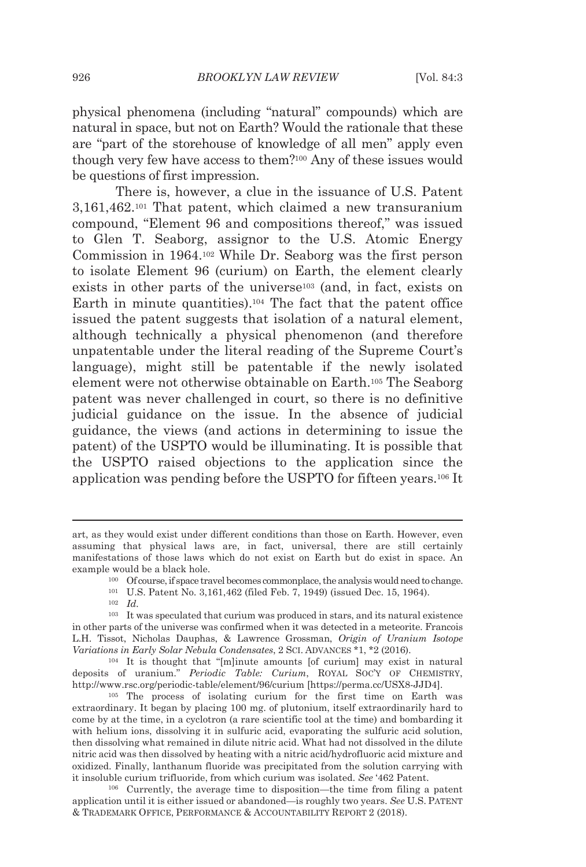physical phenomena (including "natural" compounds) which are natural in space, but not on Earth? Would the rationale that these are "part of the storehouse of knowledge of all men" apply even though very few have access to them?100 Any of these issues would be questions of first impression.

There is, however, a clue in the issuance of U.S. Patent 3,161,462.101 That patent, which claimed a new transuranium compound, "Element 96 and compositions thereof," was issued to Glen T. Seaborg, assignor to the U.S. Atomic Energy Commission in 1964.102 While Dr. Seaborg was the first person to isolate Element 96 (curium) on Earth, the element clearly exists in other parts of the universe<sup>103</sup> (and, in fact, exists on Earth in minute quantities).104 The fact that the patent office issued the patent suggests that isolation of a natural element, although technically a physical phenomenon (and therefore unpatentable under the literal reading of the Supreme Court's language), might still be patentable if the newly isolated element were not otherwise obtainable on Earth.105 The Seaborg patent was never challenged in court, so there is no definitive judicial guidance on the issue. In the absence of judicial guidance, the views (and actions in determining to issue the patent) of the USPTO would be illuminating. It is possible that the USPTO raised objections to the application since the application was pending before the USPTO for fifteen years.106 It

- 
- 

art, as they would exist under different conditions than those on Earth. However, even assuming that physical laws are, in fact, universal, there are still certainly manifestations of those laws which do not exist on Earth but do exist in space. An example would be a black hole.<br><sup>100</sup> Of course, if space travel becomes commonplace, the analysis would need to change.<br><sup>101</sup> U.S. Patent No. 3,161,462 (filed Feb. 7, 1949) (issued Dec. 15, 1964).<br><sup>102</sup> *Id.* 

<sup>103</sup> It was speculated that curium was produced in stars, and its natural existence in other parts of the universe was confirmed when it was detected in a meteorite. Francois L.H. Tissot, Nicholas Dauphas, & Lawrence Grossman, *Origin of Uranium Isotope Variations in Early Solar Nebula Condensates*, 2 SCI. ADVANCES \*1, \*2 (2016).<br><sup>104</sup> It is thought that "[m]inute amounts [of curium] may exist in natural

deposits of uranium." *Periodic Table: Curium*, ROYAL SOC'Y OF CHEMISTRY, http://www.rsc.org/periodic-table/element/96/curium [https://perma.cc/USX8-JJD4]. 105 The process of isolating curium for the first time on Earth was

extraordinary. It began by placing 100 mg. of plutonium, itself extraordinarily hard to come by at the time, in a cyclotron (a rare scientific tool at the time) and bombarding it with helium ions, dissolving it in sulfuric acid, evaporating the sulfuric acid solution, then dissolving what remained in dilute nitric acid. What had not dissolved in the dilute nitric acid was then dissolved by heating with a nitric acid/hydrofluoric acid mixture and oxidized. Finally, lanthanum fluoride was precipitated from the solution carrying with it insoluble curium trifluoride, from which curium was isolated. *See* '462 Patent.<br><sup>106</sup> Currently, the average time to disposition—the time from filing a patent

application until it is either issued or abandoned—is roughly two years. *See* U.S. PATENT & TRADEMARK OFFICE, PERFORMANCE & ACCOUNTABILITY REPORT 2 (2018).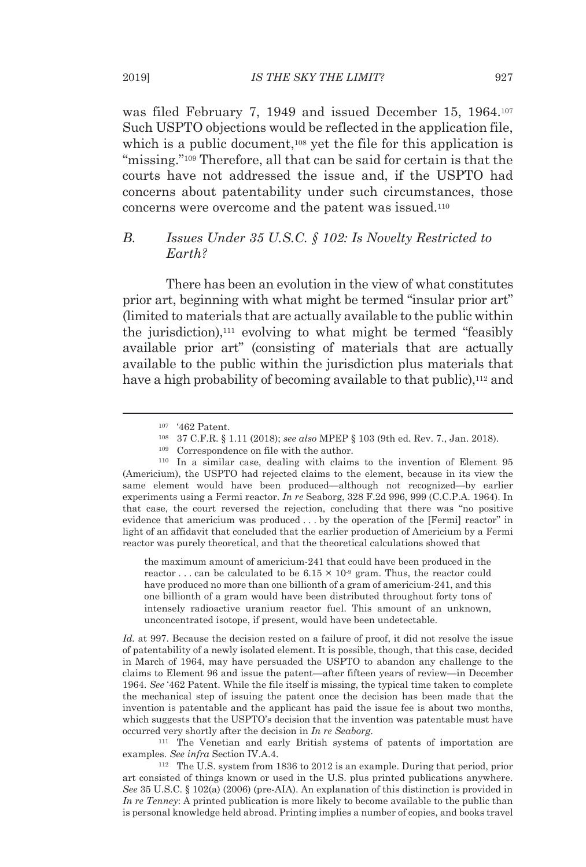was filed February 7, 1949 and issued December 15, 1964.107 Such USPTO objections would be reflected in the application file, which is a public document,<sup>108</sup> yet the file for this application is "missing."109 Therefore, all that can be said for certain is that the courts have not addressed the issue and, if the USPTO had concerns about patentability under such circumstances, those concerns were overcome and the patent was issued.110

## *B. Issues Under 35 U.S.C. § 102: Is Novelty Restricted to Earth?*

There has been an evolution in the view of what constitutes prior art, beginning with what might be termed "insular prior art" (limited to materials that are actually available to the public within the jurisdiction),111 evolving to what might be termed "feasibly available prior art" (consisting of materials that are actually available to the public within the jurisdiction plus materials that have a high probability of becoming available to that public),<sup>112</sup> and

the maximum amount of americium-241 that could have been produced in the reactor ... can be calculated to be  $6.15 \times 10^{9}$  gram. Thus, the reactor could have produced no more than one billionth of a gram of americium-241, and this one billionth of a gram would have been distributed throughout forty tons of intensely radioactive uranium reactor fuel. This amount of an unknown, unconcentrated isotope, if present, would have been undetectable.

*Id.* at 997. Because the decision rested on a failure of proof, it did not resolve the issue of patentability of a newly isolated element. It is possible, though, that this case, decided in March of 1964, may have persuaded the USPTO to abandon any challenge to the claims to Element 96 and issue the patent—after fifteen years of review—in December 1964. *See* '462 Patent. While the file itself is missing, the typical time taken to complete the mechanical step of issuing the patent once the decision has been made that the invention is patentable and the applicant has paid the issue fee is about two months, which suggests that the USPTO's decision that the invention was patentable must have occurred very shortly after the decision in *In re Seaborg*. 111 The Venetian and early British systems of patents of importation are

examples. *See infra* Section IV.A.4.<br><sup>112</sup> The U.S. system from 1836 to 2012 is an example. During that period, prior

art consisted of things known or used in the U.S. plus printed publications anywhere. *See* 35 U.S.C. § 102(a) (2006) (pre-AIA). An explanation of this distinction is provided in *In re Tenney*: A printed publication is more likely to become available to the public than is personal knowledge held abroad. Printing implies a number of copies, and books travel

<sup>107 &#</sup>x27;462 Patent. 108 37 C.F.R. § 1.11 (2018); *see also* MPEP § 103 (9th ed. Rev. 7., Jan. 2018). 109 Correspondence on file with the author. 110 In a similar case, dealing with claims to the invention of Element 95

<sup>(</sup>Americium), the USPTO had rejected claims to the element, because in its view the same element would have been produced—although not recognized—by earlier experiments using a Fermi reactor. *In re* Seaborg, 328 F.2d 996, 999 (C.C.P.A. 1964). In that case, the court reversed the rejection, concluding that there was "no positive evidence that americium was produced . . . by the operation of the [Fermi] reactor" in light of an affidavit that concluded that the earlier production of Americium by a Fermi reactor was purely theoretical, and that the theoretical calculations showed that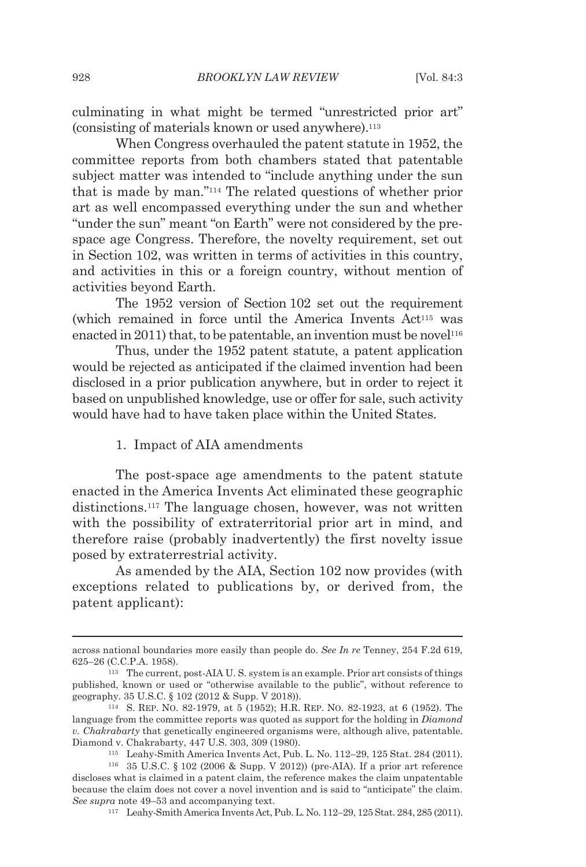culminating in what might be termed "unrestricted prior art" (consisting of materials known or used anywhere).113

When Congress overhauled the patent statute in 1952, the committee reports from both chambers stated that patentable subject matter was intended to "include anything under the sun that is made by man."114 The related questions of whether prior art as well encompassed everything under the sun and whether "under the sun" meant "on Earth" were not considered by the prespace age Congress. Therefore, the novelty requirement, set out in Section 102, was written in terms of activities in this country, and activities in this or a foreign country, without mention of activities beyond Earth.

The 1952 version of Section 102 set out the requirement (which remained in force until the America Invents Act115 was enacted in 2011) that, to be patentable, an invention must be novel<sup>116</sup>

Thus, under the 1952 patent statute, a patent application would be rejected as anticipated if the claimed invention had been disclosed in a prior publication anywhere, but in order to reject it based on unpublished knowledge, use or offer for sale, such activity would have had to have taken place within the United States.

#### 1. Impact of AIA amendments

The post-space age amendments to the patent statute enacted in the America Invents Act eliminated these geographic distinctions.117 The language chosen, however, was not written with the possibility of extraterritorial prior art in mind, and therefore raise (probably inadvertently) the first novelty issue posed by extraterrestrial activity.

As amended by the AIA, Section 102 now provides (with exceptions related to publications by, or derived from, the patent applicant):

across national boundaries more easily than people do. *See In re* Tenney, 254 F.2d 619, 625–26 (C.C.P.A. 1958). 113 The current, post-AIA U. S. system is an example. Prior art consists of things

published, known or used or "otherwise available to the public", without reference to geography. 35 U.S.C. § 102 (2012 & Supp. V 2018)).<br><sup>114</sup> S. REP. No. 82-1979, at 5 (1952); H.R. REP. No. 82-1923, at 6 (1952). The

language from the committee reports was quoted as support for the holding in *Diamond v. Chakrabarty* that genetically engineered organisms were, although alive, patentable. Diamond v. Chakrabarty, 447 U.S. 303, 309 (1980). 115 Leahy-Smith America Invents Act, Pub. L. No. 112–29, 125 Stat. 284 (2011). 116 35 U.S.C. § 102 (2006 & Supp. V 2012)) (pre-AIA). If a prior art reference

discloses what is claimed in a patent claim, the reference makes the claim unpatentable because the claim does not cover a novel invention and is said to "anticipate" the claim. *See supra* note 49–53 and accompanying text.<br><sup>117</sup> Leahy-Smith America Invents Act, Pub. L. No. 112–29, 125 Stat. 284, 285 (2011).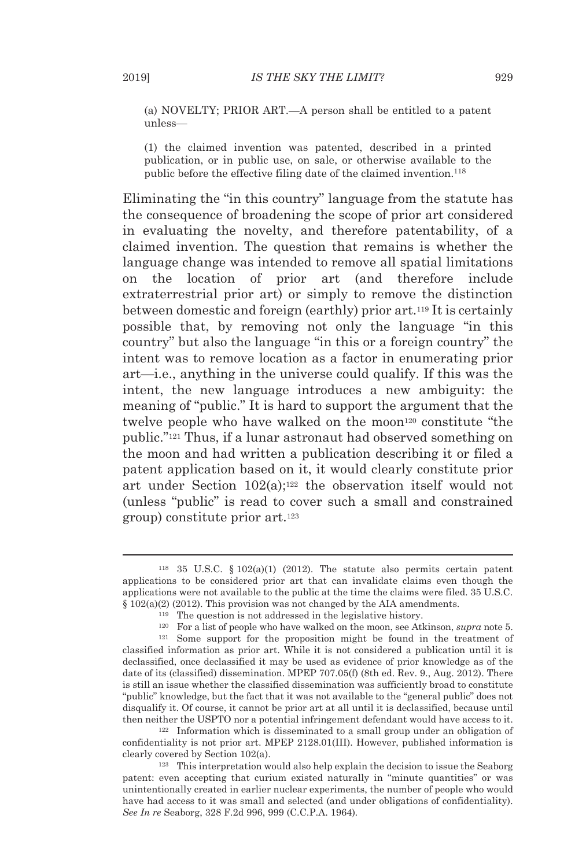(a) NOVELTY; PRIOR ART.—A person shall be entitled to a patent unless—

(1) the claimed invention was patented, described in a printed publication, or in public use, on sale, or otherwise available to the public before the effective filing date of the claimed invention.118

Eliminating the "in this country" language from the statute has the consequence of broadening the scope of prior art considered in evaluating the novelty, and therefore patentability, of a claimed invention. The question that remains is whether the language change was intended to remove all spatial limitations on the location of prior art (and therefore include extraterrestrial prior art) or simply to remove the distinction between domestic and foreign (earthly) prior art.119 It is certainly possible that, by removing not only the language "in this country" but also the language "in this or a foreign country" the intent was to remove location as a factor in enumerating prior art—i.e., anything in the universe could qualify. If this was the intent, the new language introduces a new ambiguity: the meaning of "public." It is hard to support the argument that the twelve people who have walked on the moon<sup>120</sup> constitute "the public."121 Thus, if a lunar astronaut had observed something on the moon and had written a publication describing it or filed a patent application based on it, it would clearly constitute prior art under Section  $102(a)$ ;<sup>122</sup> the observation itself would not (unless "public" is read to cover such a small and constrained group) constitute prior art.123

confidentiality is not prior art. MPEP 2128.01(III). However, published information is clearly covered by Section 102(a).<br><sup>123</sup> This interpretation would also help explain the decision to issue the Seaborg

patent: even accepting that curium existed naturally in "minute quantities" or was unintentionally created in earlier nuclear experiments, the number of people who would have had access to it was small and selected (and under obligations of confidentiality). *See In re* Seaborg, 328 F.2d 996, 999 (C.C.P.A. 1964)*.*

<sup>&</sup>lt;sup>118</sup> 35 U.S.C. § 102(a)(1) (2012). The statute also permits certain patent applications to be considered prior art that can invalidate claims even though the applications were not available to the public at the time the claims were filed. 35 U.S.C.

 $\S$  102(a)(2) (2012). This provision was not changed by the AIA amendments.<br><sup>119</sup> The question is not addressed in the legislative history.<br><sup>120</sup> For a list of people who have walked on the moon, see Atkinson, *supra* not classified information as prior art. While it is not considered a publication until it is declassified, once declassified it may be used as evidence of prior knowledge as of the date of its (classified) dissemination. MPEP 707.05(f) (8th ed. Rev. 9., Aug. 2012). There is still an issue whether the classified dissemination was sufficiently broad to constitute "public" knowledge, but the fact that it was not available to the "general public" does not disqualify it. Of course, it cannot be prior art at all until it is declassified, because until then neither the USPTO nor a potential infringement defendant would have access to it.<br><sup>122</sup> Information which is disseminated to a small group under an obligation of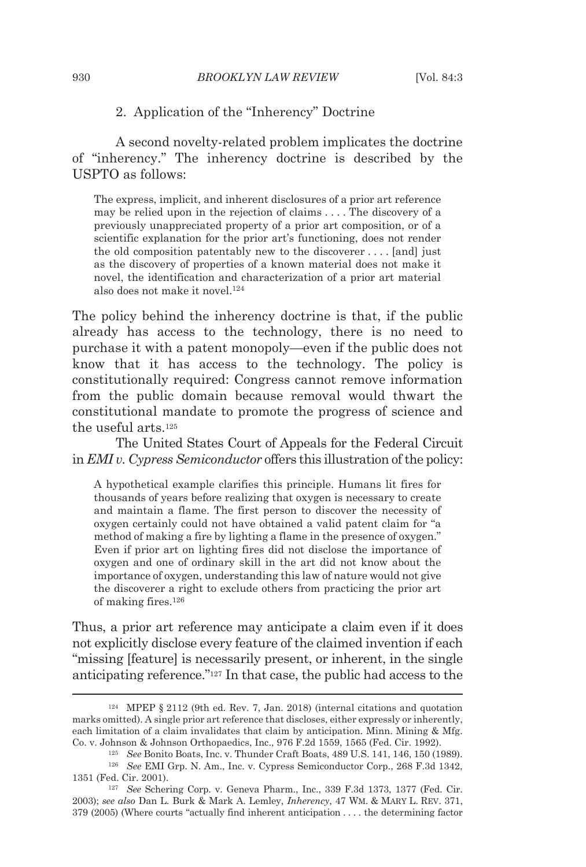#### 2. Application of the "Inherency" Doctrine

A second novelty-related problem implicates the doctrine of "inherency." The inherency doctrine is described by the USPTO as follows:

The express, implicit, and inherent disclosures of a prior art reference may be relied upon in the rejection of claims . . . . The discovery of a previously unappreciated property of a prior art composition, or of a scientific explanation for the prior art's functioning, does not render the old composition patentably new to the discoverer . . . . [and] just as the discovery of properties of a known material does not make it novel, the identification and characterization of a prior art material also does not make it novel.124

The policy behind the inherency doctrine is that, if the public already has access to the technology, there is no need to purchase it with a patent monopoly—even if the public does not know that it has access to the technology. The policy is constitutionally required: Congress cannot remove information from the public domain because removal would thwart the constitutional mandate to promote the progress of science and the useful arts.125

The United States Court of Appeals for the Federal Circuit in *EMI v. Cypress Semiconductor* offers this illustration of the policy:

A hypothetical example clarifies this principle. Humans lit fires for thousands of years before realizing that oxygen is necessary to create and maintain a flame. The first person to discover the necessity of oxygen certainly could not have obtained a valid patent claim for "a method of making a fire by lighting a flame in the presence of oxygen." Even if prior art on lighting fires did not disclose the importance of oxygen and one of ordinary skill in the art did not know about the importance of oxygen, understanding this law of nature would not give the discoverer a right to exclude others from practicing the prior art of making fires.126

Thus, a prior art reference may anticipate a claim even if it does not explicitly disclose every feature of the claimed invention if each "missing [feature] is necessarily present, or inherent, in the single anticipating reference."127 In that case, the public had access to the

<sup>124</sup> MPEP § 2112 (9th ed. Rev. 7, Jan. 2018) (internal citations and quotation marks omitted). A single prior art reference that discloses, either expressly or inherently, each limitation of a claim invalidates that claim by anticipation. Minn. Mining & Mfg.

Co. v. Johnson & Johnson Orthopaedics, Inc., 976 F.2d 1559, 1565 (Fed. Cir. 1992).<br><sup>125</sup> See Bonito Boats, Inc. v. Thunder Craft Boats, 489 U.S. 141, 146, 150 (1989).<br><sup>126</sup> See EMI Grp. N. Am., Inc. v. Cypress Semiconducto 1351 (Fed. Cir. 2001). 127 *See* Schering Corp. v. Geneva Pharm., Inc., 339 F.3d 1373, 1377 (Fed. Cir.

<sup>2003);</sup> *see also* Dan L. Burk & Mark A. Lemley, *Inherency*, 47 WM. & MARY L. REV. 371, 379 (2005) (Where courts "actually find inherent anticipation . . . . the determining factor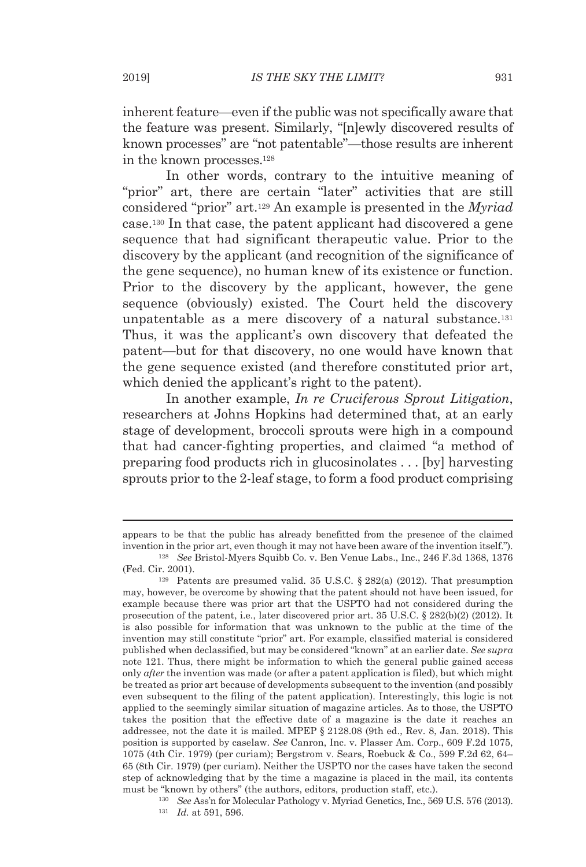inherent feature—even if the public was not specifically aware that the feature was present. Similarly, "[n]ewly discovered results of known processes" are "not patentable"—those results are inherent in the known processes.128

In other words, contrary to the intuitive meaning of "prior" art, there are certain "later" activities that are still considered "prior" art.129 An example is presented in the *Myriad* case.130 In that case, the patent applicant had discovered a gene sequence that had significant therapeutic value. Prior to the discovery by the applicant (and recognition of the significance of the gene sequence), no human knew of its existence or function. Prior to the discovery by the applicant, however, the gene sequence (obviously) existed. The Court held the discovery unpatentable as a mere discovery of a natural substance.131 Thus, it was the applicant's own discovery that defeated the patent—but for that discovery, no one would have known that the gene sequence existed (and therefore constituted prior art, which denied the applicant's right to the patent).

In another example, *In re Cruciferous Sprout Litigation*, researchers at Johns Hopkins had determined that, at an early stage of development, broccoli sprouts were high in a compound that had cancer-fighting properties, and claimed "a method of preparing food products rich in glucosinolates . . . [by] harvesting sprouts prior to the 2-leaf stage, to form a food product comprising

appears to be that the public has already benefitted from the presence of the claimed invention in the prior art, even though it may not have been aware of the invention itself."). 128 *See* Bristol-Myers Squibb Co. v. Ben Venue Labs., Inc., 246 F.3d 1368, 1376

<sup>(</sup>Fed. Cir. 2001).<br><sup>129</sup> Patents are presumed valid. 35 U.S.C. § 282(a) (2012). That presumption

may, however, be overcome by showing that the patent should not have been issued, for example because there was prior art that the USPTO had not considered during the prosecution of the patent, i.e., later discovered prior art. 35 U.S.C. § 282(b)(2) (2012). It is also possible for information that was unknown to the public at the time of the invention may still constitute "prior" art. For example, classified material is considered published when declassified, but may be considered "known" at an earlier date. *See supra*  note 121. Thus, there might be information to which the general public gained access only *after* the invention was made (or after a patent application is filed), but which might be treated as prior art because of developments subsequent to the invention (and possibly even subsequent to the filing of the patent application). Interestingly, this logic is not applied to the seemingly similar situation of magazine articles. As to those, the USPTO takes the position that the effective date of a magazine is the date it reaches an addressee, not the date it is mailed. MPEP § 2128.08 (9th ed., Rev. 8, Jan. 2018). This position is supported by caselaw. *See* Canron, Inc. v. Plasser Am. Corp., 609 F.2d 1075, 1075 (4th Cir. 1979) (per curiam); Bergstrom v. Sears, Roebuck & Co., 599 F.2d 62, 64– 65 (8th Cir. 1979) (per curiam). Neither the USPTO nor the cases have taken the second step of acknowledging that by the time a magazine is placed in the mail, its contents

must be "known by others" (the authors, editors, production staff, etc.).<br><sup>130</sup> *See* Ass'n for Molecular Pathology v. Myriad Genetics, Inc., 569 U.S. 576 (2013).<br><sup>131</sup> *Id.* at 591, 596.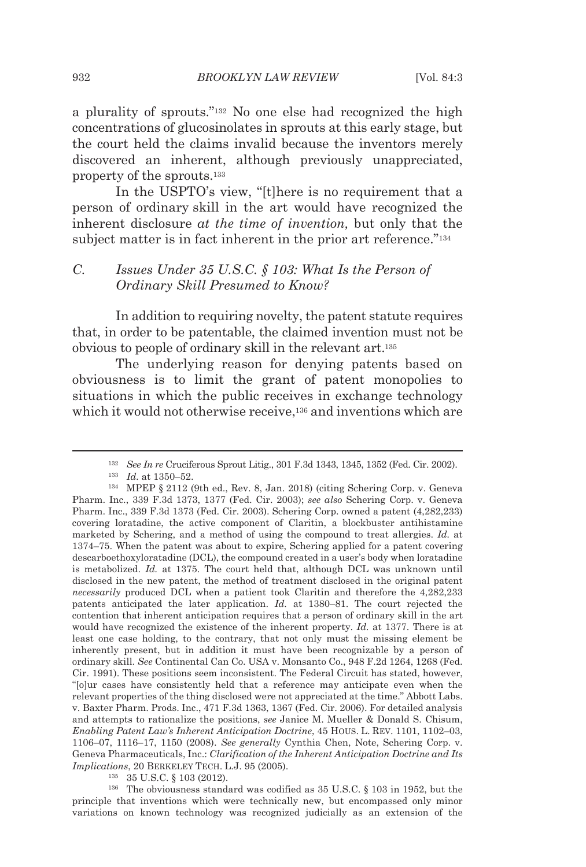a plurality of sprouts."132 No one else had recognized the high concentrations of glucosinolates in sprouts at this early stage, but the court held the claims invalid because the inventors merely discovered an inherent, although previously unappreciated, property of the sprouts.133

In the USPTO's view, "[t]here is no requirement that a person of ordinary skill in the art would have recognized the inherent disclosure *at the time of invention,* but only that the subject matter is in fact inherent in the prior art reference."<sup>134</sup>

#### *C. Issues Under 35 U.S.C. § 103: What Is the Person of Ordinary Skill Presumed to Know?*

In addition to requiring novelty, the patent statute requires that, in order to be patentable, the claimed invention must not be obvious to people of ordinary skill in the relevant art.135

The underlying reason for denying patents based on obviousness is to limit the grant of patent monopolies to situations in which the public receives in exchange technology which it would not otherwise receive,<sup>136</sup> and inventions which are

*Implications*, 20 BERKELEY TECH. L.J. 95 (2005).<br><sup>135</sup> 35 U.S.C. § 103 (2012).<br><sup>136</sup> The obviousness standard was codified as 35 U.S.C. § 103 in 1952, but the principle that inventions which were technically new, but encompassed only minor variations on known technology was recognized judicially as an extension of the

<sup>132</sup> *See In re* Cruciferous Sprout Litig., 301 F.3d 1343, 1345, 1352 (Fed. Cir. 2002). 133 *Id.* at 1350–52. 134 MPEP § 2112 (9th ed., Rev. 8, Jan. 2018) (citing Schering Corp. v. Geneva

Pharm. Inc., 339 F.3d 1373, 1377 (Fed. Cir. 2003); *see also* Schering Corp. v. Geneva Pharm. Inc., 339 F.3d 1373 (Fed. Cir. 2003). Schering Corp. owned a patent (4,282,233) covering loratadine, the active component of Claritin, a blockbuster antihistamine marketed by Schering, and a method of using the compound to treat allergies. *Id.* at 1374–75. When the patent was about to expire, Schering applied for a patent covering descarboethoxyloratadine (DCL), the compound created in a user's body when loratadine is metabolized. *Id.* at 1375. The court held that, although DCL was unknown until disclosed in the new patent, the method of treatment disclosed in the original patent *necessarily* produced DCL when a patient took Claritin and therefore the 4,282,233 patents anticipated the later application. *Id.* at 1380–81. The court rejected the contention that inherent anticipation requires that a person of ordinary skill in the art would have recognized the existence of the inherent property. *Id.* at 1377. There is at least one case holding, to the contrary, that not only must the missing element be inherently present, but in addition it must have been recognizable by a person of ordinary skill. *See* Continental Can Co. USA v. Monsanto Co., 948 F.2d 1264, 1268 (Fed. Cir. 1991). These positions seem inconsistent. The Federal Circuit has stated, however, "[o]ur cases have consistently held that a reference may anticipate even when the relevant properties of the thing disclosed were not appreciated at the time." Abbott Labs. v. Baxter Pharm. Prods. Inc., 471 F.3d 1363, 1367 (Fed. Cir. 2006). For detailed analysis and attempts to rationalize the positions, *see* Janice M. Mueller & Donald S. Chisum, *Enabling Patent Law's Inherent Anticipation Doctrine*, 45 HOUS. L. REV. 1101, 1102–03, 1106–07, 1116–17, 1150 (2008). *See generally* Cynthia Chen, Note, Schering Corp. v. Geneva Pharmaceuticals, Inc.: *Clarification of the Inherent Anticipation Doctrine and Its*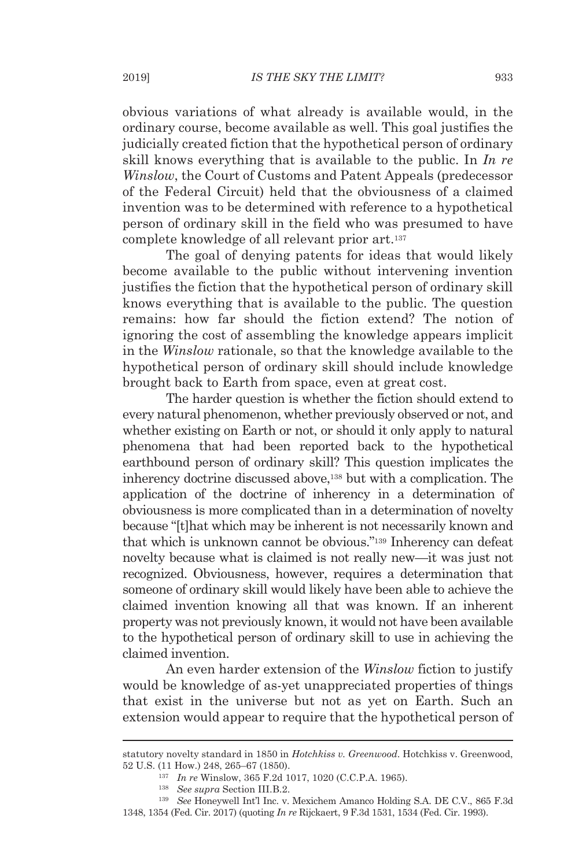obvious variations of what already is available would, in the ordinary course, become available as well. This goal justifies the judicially created fiction that the hypothetical person of ordinary skill knows everything that is available to the public. In *In re Winslow*, the Court of Customs and Patent Appeals (predecessor of the Federal Circuit) held that the obviousness of a claimed invention was to be determined with reference to a hypothetical person of ordinary skill in the field who was presumed to have complete knowledge of all relevant prior art.137

The goal of denying patents for ideas that would likely become available to the public without intervening invention justifies the fiction that the hypothetical person of ordinary skill knows everything that is available to the public. The question remains: how far should the fiction extend? The notion of ignoring the cost of assembling the knowledge appears implicit in the *Winslow* rationale, so that the knowledge available to the hypothetical person of ordinary skill should include knowledge brought back to Earth from space, even at great cost.

The harder question is whether the fiction should extend to every natural phenomenon, whether previously observed or not, and whether existing on Earth or not, or should it only apply to natural phenomena that had been reported back to the hypothetical earthbound person of ordinary skill? This question implicates the inherency doctrine discussed above,138 but with a complication. The application of the doctrine of inherency in a determination of obviousness is more complicated than in a determination of novelty because "[t]hat which may be inherent is not necessarily known and that which is unknown cannot be obvious."139 Inherency can defeat novelty because what is claimed is not really new—it was just not recognized. Obviousness, however, requires a determination that someone of ordinary skill would likely have been able to achieve the claimed invention knowing all that was known. If an inherent property was not previously known, it would not have been available to the hypothetical person of ordinary skill to use in achieving the claimed invention.

An even harder extension of the *Winslow* fiction to justify would be knowledge of as-yet unappreciated properties of things that exist in the universe but not as yet on Earth. Such an extension would appear to require that the hypothetical person of

statutory novelty standard in 1850 in *Hotchkiss v. Greenwood*. Hotchkiss v. Greenwood, 52 U.S. (11 How.) 248, 265–67 (1850). 137 *In re* Winslow, 365 F.2d 1017, 1020 (C.C.P.A. 1965). 138 *See supra* Section III.B.2. 139 *See* Honeywell Int'l Inc. v. Mexichem Amanco Holding S.A. DE C.V., 865 F.3d

<sup>1348, 1354 (</sup>Fed. Cir. 2017) (quoting *In re* Rijckaert, 9 F.3d 1531, 1534 (Fed. Cir. 1993).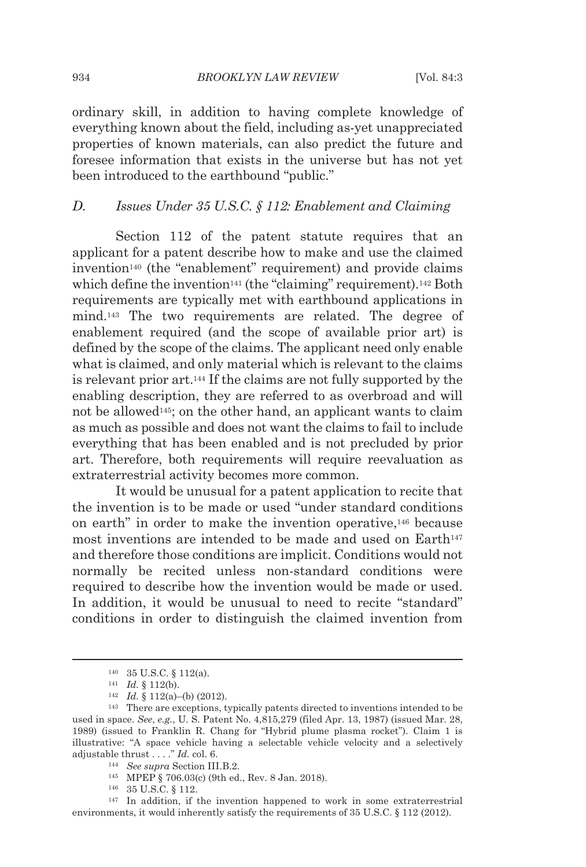ordinary skill, in addition to having complete knowledge of everything known about the field, including as-yet unappreciated properties of known materials, can also predict the future and foresee information that exists in the universe but has not yet been introduced to the earthbound "public."

#### *D. Issues Under 35 U.S.C. § 112: Enablement and Claiming*

Section 112 of the patent statute requires that an applicant for a patent describe how to make and use the claimed invention<sup>140</sup> (the "enablement" requirement) and provide claims which define the invention<sup>141</sup> (the "claiming" requirement).<sup>142</sup> Both requirements are typically met with earthbound applications in mind.143 The two requirements are related. The degree of enablement required (and the scope of available prior art) is defined by the scope of the claims. The applicant need only enable what is claimed, and only material which is relevant to the claims is relevant prior art.144 If the claims are not fully supported by the enabling description, they are referred to as overbroad and will not be allowed145; on the other hand, an applicant wants to claim as much as possible and does not want the claims to fail to include everything that has been enabled and is not precluded by prior art. Therefore, both requirements will require reevaluation as extraterrestrial activity becomes more common.

It would be unusual for a patent application to recite that the invention is to be made or used "under standard conditions on earth" in order to make the invention operative,146 because most inventions are intended to be made and used on Earth<sup>147</sup> and therefore those conditions are implicit. Conditions would not normally be recited unless non-standard conditions were required to describe how the invention would be made or used. In addition, it would be unusual to need to recite "standard" conditions in order to distinguish the claimed invention from

<sup>140 35</sup> U.S.C. § 112(a).<br>
141 *Id.* § 112(b).<br>
142 *Id.* § 112(a)–(b) (2012).<br>
143 There are exceptions, typically patents directed to inventions intended to be used in space. *See*, *e.g.*, U. S. Patent No. 4,815,279 (filed Apr. 13, 1987) (issued Mar. 28, 1989) (issued to Franklin R. Chang for "Hybrid plume plasma rocket"). Claim 1 is illustrative: "A space vehicle having a selectable vehicle velocity and a selectively adjustable thrust  $\dots$ ." *Id.* col. 6.

<sup>&</sup>lt;sup>144</sup> See supra Section III.B.2.<br><sup>145</sup> MPEP § 706.03(c) (9th ed., Rev. 8 Jan. 2018).<br><sup>146</sup> 35 U.S.C. § 112.<br><sup>147</sup> In addition, if the invention happened to work in some extraterrestrial environments, it would inherently satisfy the requirements of 35 U.S.C. § 112 (2012).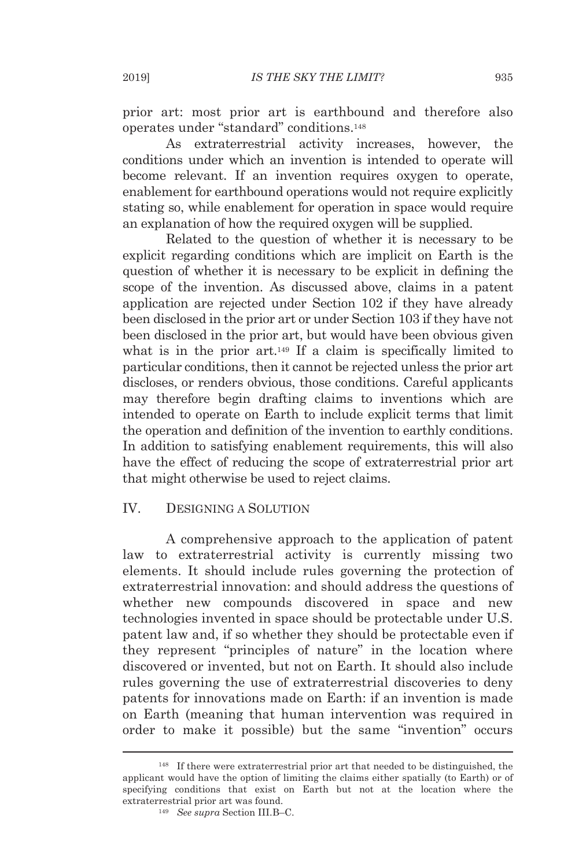prior art: most prior art is earthbound and therefore also operates under "standard" conditions.148

As extraterrestrial activity increases, however, the conditions under which an invention is intended to operate will become relevant. If an invention requires oxygen to operate, enablement for earthbound operations would not require explicitly stating so, while enablement for operation in space would require an explanation of how the required oxygen will be supplied.

Related to the question of whether it is necessary to be explicit regarding conditions which are implicit on Earth is the question of whether it is necessary to be explicit in defining the scope of the invention. As discussed above, claims in a patent application are rejected under Section 102 if they have already been disclosed in the prior art or under Section 103 if they have not been disclosed in the prior art, but would have been obvious given what is in the prior art.<sup>149</sup> If a claim is specifically limited to particular conditions, then it cannot be rejected unless the prior art discloses, or renders obvious, those conditions. Careful applicants may therefore begin drafting claims to inventions which are intended to operate on Earth to include explicit terms that limit the operation and definition of the invention to earthly conditions. In addition to satisfying enablement requirements, this will also have the effect of reducing the scope of extraterrestrial prior art that might otherwise be used to reject claims.

#### IV. DESIGNING A SOLUTION

A comprehensive approach to the application of patent law to extraterrestrial activity is currently missing two elements. It should include rules governing the protection of extraterrestrial innovation: and should address the questions of whether new compounds discovered in space and new technologies invented in space should be protectable under U.S. patent law and, if so whether they should be protectable even if they represent "principles of nature" in the location where discovered or invented, but not on Earth. It should also include rules governing the use of extraterrestrial discoveries to deny patents for innovations made on Earth: if an invention is made on Earth (meaning that human intervention was required in order to make it possible) but the same "invention" occurs

<sup>148</sup> If there were extraterrestrial prior art that needed to be distinguished, the applicant would have the option of limiting the claims either spatially (to Earth) or of specifying conditions that exist on Earth but not at the location where the extraterrestrial prior art was found. 149 *See supra* Section III.B–C.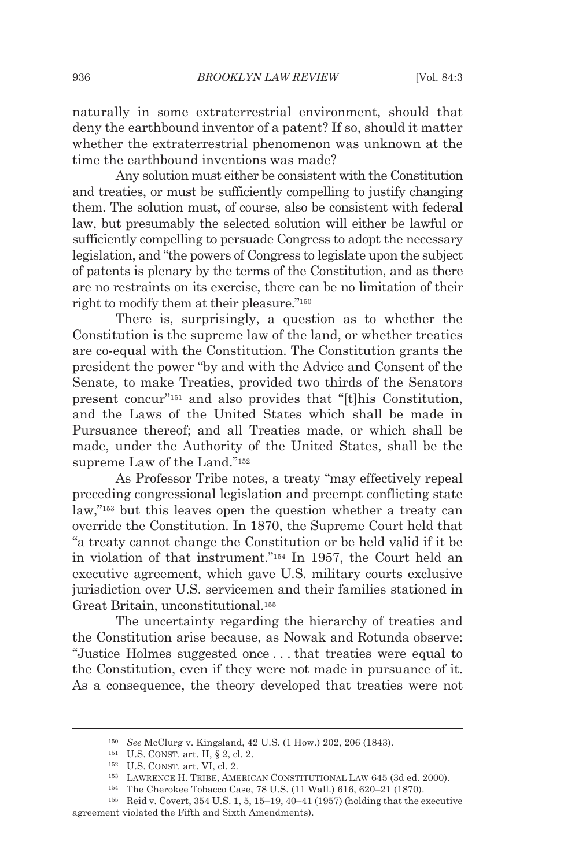naturally in some extraterrestrial environment, should that deny the earthbound inventor of a patent? If so, should it matter whether the extraterrestrial phenomenon was unknown at the time the earthbound inventions was made?

Any solution must either be consistent with the Constitution and treaties, or must be sufficiently compelling to justify changing them. The solution must, of course, also be consistent with federal law, but presumably the selected solution will either be lawful or sufficiently compelling to persuade Congress to adopt the necessary legislation, and "the powers of Congress to legislate upon the subject of patents is plenary by the terms of the Constitution, and as there are no restraints on its exercise, there can be no limitation of their right to modify them at their pleasure."150

There is, surprisingly, a question as to whether the Constitution is the supreme law of the land, or whether treaties are co-equal with the Constitution. The Constitution grants the president the power "by and with the Advice and Consent of the Senate, to make Treaties, provided two thirds of the Senators present concur"151 and also provides that "[t]his Constitution, and the Laws of the United States which shall be made in Pursuance thereof; and all Treaties made, or which shall be made, under the Authority of the United States, shall be the supreme Law of the Land."152

As Professor Tribe notes, a treaty "may effectively repeal preceding congressional legislation and preempt conflicting state law,"153 but this leaves open the question whether a treaty can override the Constitution. In 1870, the Supreme Court held that "a treaty cannot change the Constitution or be held valid if it be in violation of that instrument."154 In 1957, the Court held an executive agreement, which gave U.S. military courts exclusive jurisdiction over U.S. servicemen and their families stationed in Great Britain, unconstitutional.155

The uncertainty regarding the hierarchy of treaties and the Constitution arise because, as Nowak and Rotunda observe: "Justice Holmes suggested once . . . that treaties were equal to the Constitution, even if they were not made in pursuance of it. As a consequence, the theory developed that treaties were not

<sup>&</sup>lt;sup>150</sup> See McClurg v. Kingsland, 42 U.S. (1 How.) 202, 206 (1843).<br>
<sup>151</sup> U.S. CONST. art. II, § 2, cl. 2.<br>
<sup>152</sup> U.S. CONST. art. VI, cl. 2.<br>
<sup>152</sup> U.S. CONST. art. VI, cl. 2.<br>
<sup>152</sup> U.S. CONST. art. VI, cl. 2.<br>
<sup>152</sup> LAW

agreement violated the Fifth and Sixth Amendments).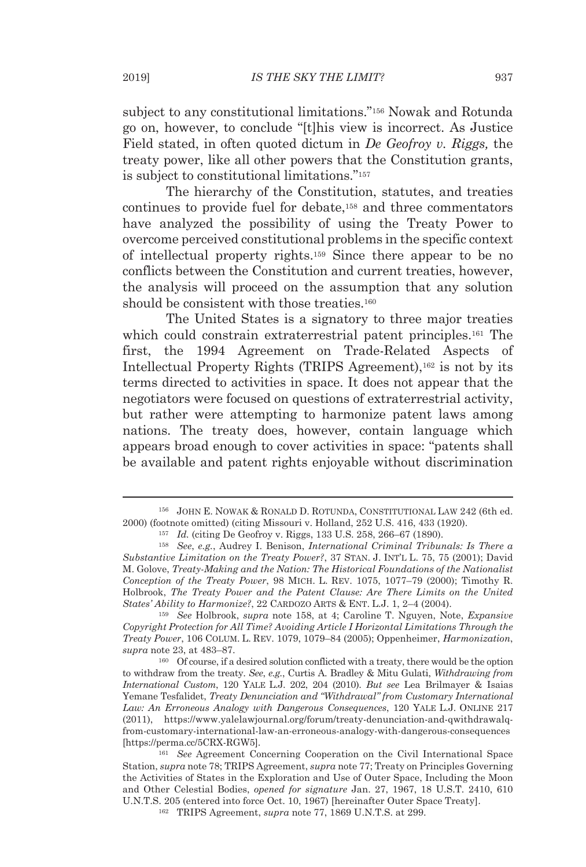subject to any constitutional limitations."156 Nowak and Rotunda go on, however, to conclude "[t]his view is incorrect. As Justice Field stated, in often quoted dictum in *De Geofroy v. Riggs,* the treaty power, like all other powers that the Constitution grants, is subject to constitutional limitations."157

The hierarchy of the Constitution, statutes, and treaties continues to provide fuel for debate,158 and three commentators have analyzed the possibility of using the Treaty Power to overcome perceived constitutional problems in the specific context of intellectual property rights.159 Since there appear to be no conflicts between the Constitution and current treaties, however, the analysis will proceed on the assumption that any solution should be consistent with those treaties.<sup>160</sup>

The United States is a signatory to three major treaties which could constrain extraterrestrial patent principles.161 The first, the 1994 Agreement on Trade-Related Aspects of Intellectual Property Rights (TRIPS Agreement),162 is not by its terms directed to activities in space. It does not appear that the negotiators were focused on questions of extraterrestrial activity, but rather were attempting to harmonize patent laws among nations. The treaty does, however, contain language which appears broad enough to cover activities in space: "patents shall be available and patent rights enjoyable without discrimination

<sup>156</sup> JOHN E. NOWAK & RONALD D. ROTUNDA, CONSTITUTIONAL LAW 242 (6th ed. 2000) (footnote omitted) (citing Missouri v. Holland,  $252$  U.S.  $416$ ,  $433$  (1920).<br><sup>157</sup> *Id.* (citing De Geofroy v. Riggs, 133 U.S.  $258$ ,  $266-67$  (1890).<br><sup>158</sup> *See, e.g.*, Audrey I. Benison, *International Criminal* 

*Substantive Limitation on the Treaty Power?*, 37 STAN. J. INT'L L. 75, 75 (2001); David M. Golove, *Treaty-Making and the Nation: The Historical Foundations of the Nationalist Conception of the Treaty Power*, 98 MICH. L. REV. 1075, 1077–79 (2000); Timothy R. Holbrook, *The Treaty Power and the Patent Clause: Are There Limits on the United States' Ability to Harmonize?*, 22 CARDOZO ARTS & ENT. L.J. 1, 2–4 (2004). 159 *See* Holbrook, *supra* note 158, at 4; Caroline T. Nguyen, Note, *Expansive* 

*Copyright Protection for All Time? Avoiding Article I Horizontal Limitations Through the Treaty Power*, 106 COLUM. L. REV. 1079, 1079–84 (2005); Oppenheimer, *Harmonization*, *supra* note 23, at 483–87.

<sup>160</sup> Of course, if a desired solution conflicted with a treaty, there would be the option to withdraw from the treaty. *See*, *e.g.*, Curtis A. Bradley & Mitu Gulati, *Withdrawing from International Custom*, 120 YALE L.J. 202, 204 (2010). *But see* Lea Brilmayer & Isaias Yemane Tesfalidet, *Treaty Denunciation and "Withdrawal" from Customary International Law: An Erroneous Analogy with Dangerous Consequences*, 120 YALE L.J. ONLINE 217 (2011), https://www.yalelawjournal.org/forum/treaty-denunciation-and-qwithdrawalqfrom-customary-international-law-an-erroneous-analogy-with-dangerous-consequences [https://perma.cc/5CRX-RGW5]. 161 *See* Agreement Concerning Cooperation on the Civil International Space

Station, *supra* note 78; TRIPS Agreement, *supra* note 77; Treaty on Principles Governing the Activities of States in the Exploration and Use of Outer Space, Including the Moon and Other Celestial Bodies, *opened for signature* Jan. 27, 1967, 18 U.S.T. 2410, 610 U.N.T.S. 205 (entered into force Oct. 10, 1967) [hereinafter Outer Space Treaty]. 162 TRIPS Agreement, *supra* note 77, 1869 U.N.T.S. at 299.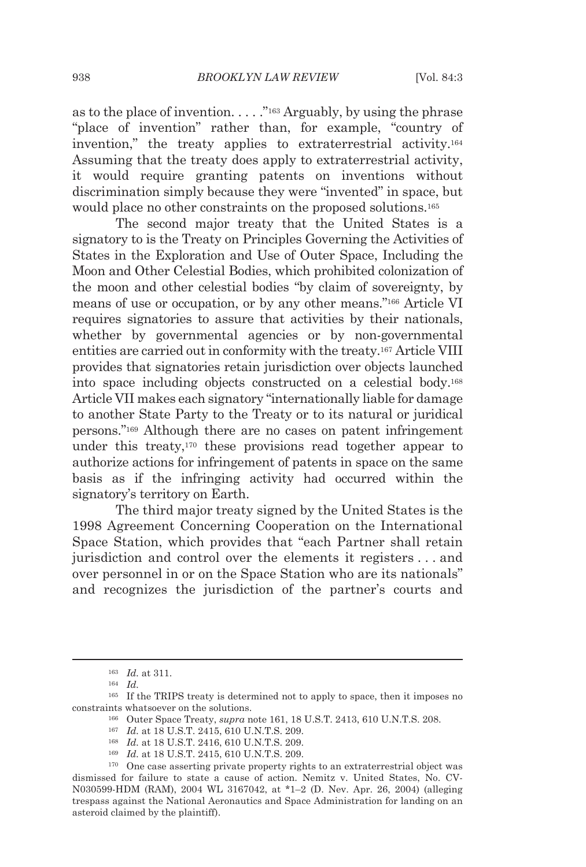as to the place of invention.  $\dots$  ."<sup>163</sup> Arguably, by using the phrase "place of invention" rather than, for example, "country of invention," the treaty applies to extraterrestrial activity.164 Assuming that the treaty does apply to extraterrestrial activity, it would require granting patents on inventions without discrimination simply because they were "invented" in space, but would place no other constraints on the proposed solutions.<sup>165</sup>

The second major treaty that the United States is a signatory to is the Treaty on Principles Governing the Activities of States in the Exploration and Use of Outer Space, Including the Moon and Other Celestial Bodies, which prohibited colonization of the moon and other celestial bodies "by claim of sovereignty, by means of use or occupation, or by any other means."166 Article VI requires signatories to assure that activities by their nationals, whether by governmental agencies or by non-governmental entities are carried out in conformity with the treaty.167 Article VIII provides that signatories retain jurisdiction over objects launched into space including objects constructed on a celestial body.168 Article VII makes each signatory "internationally liable for damage to another State Party to the Treaty or to its natural or juridical persons."169 Although there are no cases on patent infringement under this treaty,170 these provisions read together appear to authorize actions for infringement of patents in space on the same basis as if the infringing activity had occurred within the signatory's territory on Earth.

The third major treaty signed by the United States is the 1998 Agreement Concerning Cooperation on the International Space Station, which provides that "each Partner shall retain jurisdiction and control over the elements it registers . . . and over personnel in or on the Space Station who are its nationals" and recognizes the jurisdiction of the partner's courts and

- 
- 
- 
- 

<sup>163</sup> *Id.* at 311. 164 *Id.*

<sup>165</sup> If the TRIPS treaty is determined not to apply to space, then it imposes no constraints whatsoever on the solutions.<br><sup>166</sup> Outer Space Treaty, *supra* note 161, 18 U.S.T. 2413, 610 U.N.T.S. 208.<br><sup>167</sup> *Id.* at 18 U.S.T. 2415, 610 U.N.T.S. 209.<br><sup>168</sup> *Id.* at 18 U.S.T. 2416, 610 U.N.T.S. 209.<br><sup>169</sup>

dismissed for failure to state a cause of action. Nemitz v. United States, No. CV-N030599-HDM (RAM), 2004 WL 3167042, at \*1–2 (D. Nev. Apr. 26, 2004) (alleging trespass against the National Aeronautics and Space Administration for landing on an asteroid claimed by the plaintiff).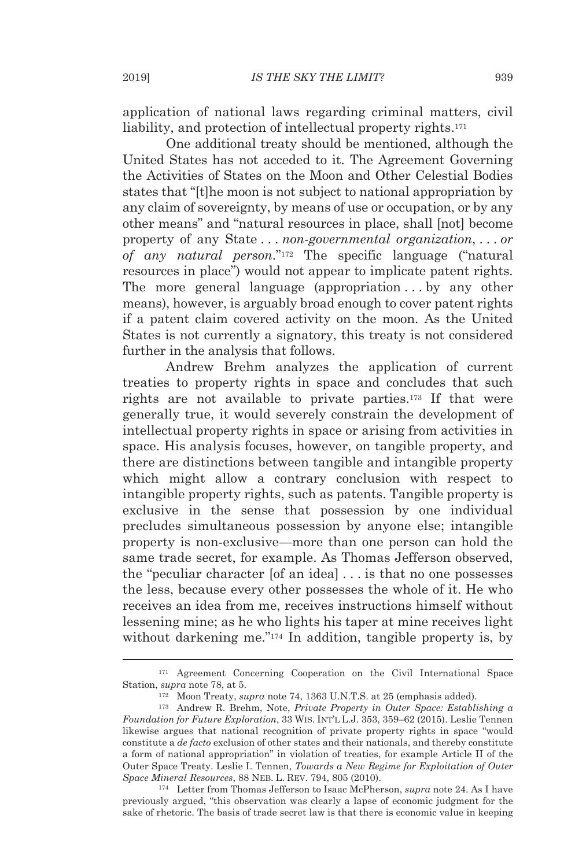application of national laws regarding criminal matters, civil liability, and protection of intellectual property rights.<sup>171</sup>

One additional treaty should be mentioned, although the United States has not acceded to it. The Agreement Governing the Activities of States on the Moon and Other Celestial Bodies states that "[t]he moon is not subject to national appropriation by any claim of sovereignty, by means of use or occupation, or by any other means" and "natural resources in place, shall [not] become property of any State . . . *non-governmental organization*, . . . *or of any natural person*."172 The specific language ("natural resources in place") would not appear to implicate patent rights. The more general language (appropriation . . . by any other means), however, is arguably broad enough to cover patent rights if a patent claim covered activity on the moon. As the United States is not currently a signatory, this treaty is not considered further in the analysis that follows.

Andrew Brehm analyzes the application of current treaties to property rights in space and concludes that such rights are not available to private parties.173 If that were generally true, it would severely constrain the development of intellectual property rights in space or arising from activities in space. His analysis focuses, however, on tangible property, and there are distinctions between tangible and intangible property which might allow a contrary conclusion with respect to intangible property rights, such as patents. Tangible property is exclusive in the sense that possession by one individual precludes simultaneous possession by anyone else; intangible property is non-exclusive—more than one person can hold the same trade secret, for example. As Thomas Jefferson observed, the "peculiar character [of an idea] . . . is that no one possesses the less, because every other possesses the whole of it. He who receives an idea from me, receives instructions himself without lessening mine; as he who lights his taper at mine receives light without darkening me."<sup>174</sup> In addition, tangible property is, by

previously argued, "this observation was clearly a lapse of economic judgment for the sake of rhetoric. The basis of trade secret law is that there is economic value in keeping

<sup>171</sup> Agreement Concerning Cooperation on the Civil International Space Station, *supra* note 78, at 5.<br><sup>172</sup> Moon Treaty, *supra* note 74, 1363 U.N.T.S. at 25 (emphasis added).<br><sup>173</sup> Andrew R. Brehm, Note, *Private Property in Outer Space: Establishing a* 

*Foundation for Future Exploration*, 33 WIS. INT'L L.J. 353, 359–62 (2015). Leslie Tennen likewise argues that national recognition of private property rights in space "would constitute a *de facto* exclusion of other states and their nationals, and thereby constitute a form of national appropriation" in violation of treaties, for example Article II of the Outer Space Treaty. Leslie I. Tennen, *Towards a New Regime for Exploitation of Outer Space Mineral Resources*, 88 NEB. L. REV. 794, 805 (2010). 174 Letter from Thomas Jefferson to Isaac McPherson, *supra* note 24. As I have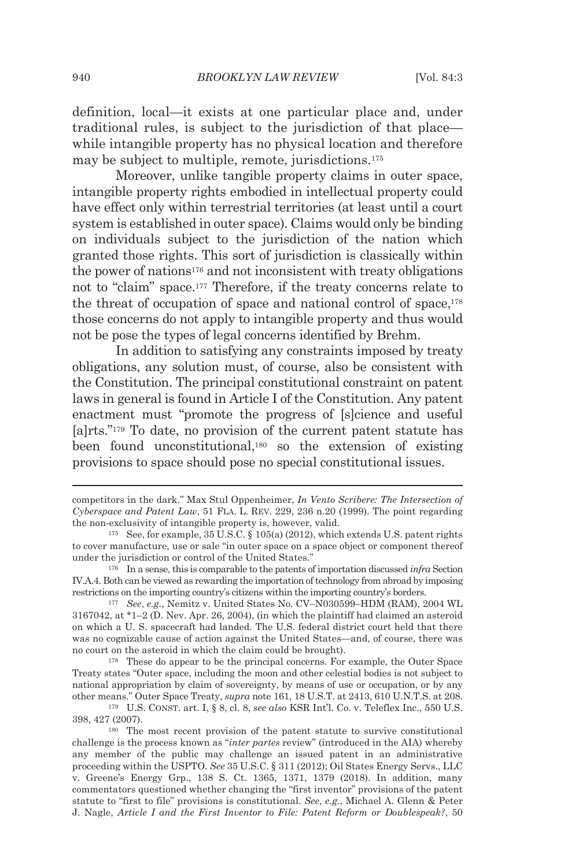definition, local—it exists at one particular place and, under traditional rules, is subject to the jurisdiction of that place while intangible property has no physical location and therefore may be subject to multiple, remote, jurisdictions.175

Moreover, unlike tangible property claims in outer space, intangible property rights embodied in intellectual property could have effect only within terrestrial territories (at least until a court system is established in outer space). Claims would only be binding on individuals subject to the jurisdiction of the nation which granted those rights. This sort of jurisdiction is classically within the power of nations176 and not inconsistent with treaty obligations not to "claim" space.177 Therefore, if the treaty concerns relate to the threat of occupation of space and national control of space,178 those concerns do not apply to intangible property and thus would not be pose the types of legal concerns identified by Brehm.

In addition to satisfying any constraints imposed by treaty obligations, any solution must, of course, also be consistent with the Constitution. The principal constitutional constraint on patent laws in general is found in Article I of the Constitution. Any patent enactment must "promote the progress of [s]cience and useful [a]rts."179 To date, no provision of the current patent statute has been found unconstitutional,180 so the extension of existing provisions to space should pose no special constitutional issues.

IV.A.4. Both can be viewed as rewarding the importation of technology from abroad by imposing restrictions on the importing country's citizens within the importing country's borders. 177 *See*, *e.g.*, Nemitz v. United States No. CV–N030599–HDM (RAM), 2004 WL

3167042, at \*1–2 (D. Nev. Apr. 26, 2004), (in which the plaintiff had claimed an asteroid on which a U. S. spacecraft had landed. The U.S. federal district court held that there was no cognizable cause of action against the United States—and, of course, there was no court on the asteroid in which the claim could be brought). 178 These do appear to be the principal concerns. For example, the Outer Space

Treaty states "Outer space, including the moon and other celestial bodies is not subject to national appropriation by claim of sovereignty, by means of use or occupation, or by any other means." Outer Space Treaty, *supra* note 161, 18 U.S.T. at 2413, 610 U.N.T.S. at 208. 179 U.S. CONST. art. I, § 8, cl. 8, *see also* KSR Int'l. Co. v. Teleflex Inc., 550 U.S.

competitors in the dark." Max Stul Oppenheimer, *In Vento Scribere: The Intersection of Cyberspace and Patent Law*, 51 FLA. L. REV. 229, 236 n.20 (1999). The point regarding the non-exclusivity of intangible property is, however, valid.<br><sup>175</sup> See, for example, 35 U.S.C. § 105(a) (2012), which extends U.S. patent rights

to cover manufacture, use or sale "in outer space on a space object or component thereof under the jurisdiction or control of the United States." 176 In a sense, this is comparable to the patents of importation discussed *infra* Section

<sup>398, 427 (2007).&</sup>lt;br><sup>180</sup> The most recent provision of the patent statute to survive constitutional

challenge is the process known as "*inter partes* review" (introduced in the AIA) whereby any member of the public may challenge an issued patent in an administrative proceeding within the USPTO. *See* 35 U.S.C. § 311 (2012); Oil States Energy Servs., LLC v. Greene's Energy Grp., 138 S. Ct. 1365, 1371, 1379 (2018). In addition, many commentators questioned whether changing the "first inventor" provisions of the patent statute to "first to file" provisions is constitutional. *See*, *e.g.*, Michael A. Glenn & Peter J. Nagle, *Article I and the First Inventor to File: Patent Reform or Doublespeak?*, 50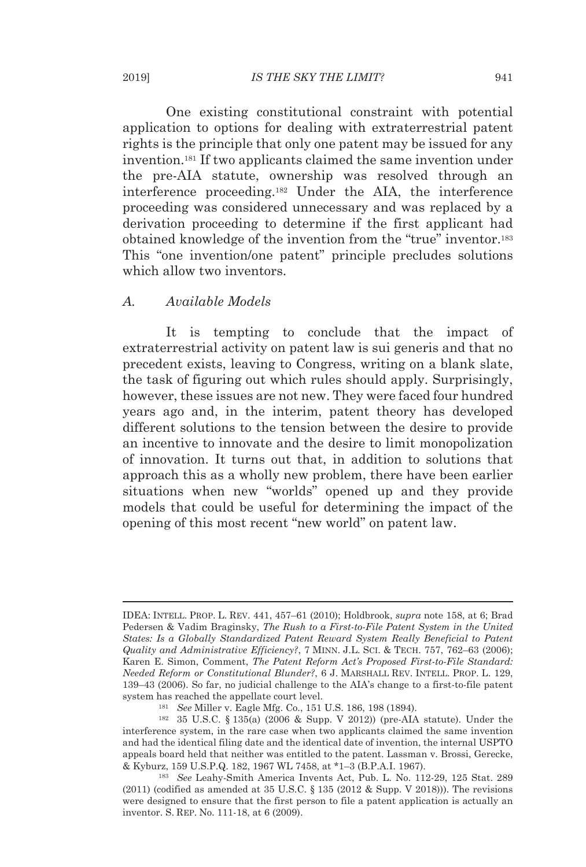One existing constitutional constraint with potential application to options for dealing with extraterrestrial patent rights is the principle that only one patent may be issued for any invention.181 If two applicants claimed the same invention under the pre-AIA statute, ownership was resolved through an interference proceeding.182 Under the AIA, the interference proceeding was considered unnecessary and was replaced by a derivation proceeding to determine if the first applicant had obtained knowledge of the invention from the "true" inventor.183 This "one invention/one patent" principle precludes solutions which allow two inventors.

#### *A. Available Models*

It is tempting to conclude that the impact of extraterrestrial activity on patent law is sui generis and that no precedent exists, leaving to Congress, writing on a blank slate, the task of figuring out which rules should apply. Surprisingly, however, these issues are not new. They were faced four hundred years ago and, in the interim, patent theory has developed different solutions to the tension between the desire to provide an incentive to innovate and the desire to limit monopolization of innovation. It turns out that, in addition to solutions that approach this as a wholly new problem, there have been earlier situations when new "worlds" opened up and they provide models that could be useful for determining the impact of the opening of this most recent "new world" on patent law.

IDEA: INTELL. PROP. L. REV. 441, 457–61 (2010); Holdbrook, *supra* note 158, at 6; Brad Pedersen & Vadim Braginsky, *The Rush to a First-to-File Patent System in the United States: Is a Globally Standardized Patent Reward System Really Beneficial to Patent Quality and Administrative Efficiency?*, 7 MINN. J.L. SCI. & TECH. 757, 762–63 (2006); Karen E. Simon, Comment, *The Patent Reform Act's Proposed First-to-File Standard: Needed Reform or Constitutional Blunder?*, 6 J. MARSHALL REV. INTELL. PROP. L. 129, 139–43 (2006). So far, no judicial challenge to the AIA's change to a first-to-file patent system has reached the appellate court level.<br><sup>181</sup> See Miller v. Eagle Mfg. Co., 151 U.S. 186, 198 (1894).<br><sup>182</sup> 35 U.S.C. § 135(a) (2006 & Supp. V 2012)) (pre-AIA statute). Under the

interference system, in the rare case when two applicants claimed the same invention and had the identical filing date and the identical date of invention, the internal USPTO appeals board held that neither was entitled to the patent. Lassman v. Brossi, Gerecke, & Kyburz, 159 U.S.P.Q. 182, 1967 WL 7458, at \*1–3 (B.P.A.I. 1967). 183 *See* Leahy-Smith America Invents Act, Pub. L. No. 112-29, 125 Stat. 289

 $(2011)$  (codified as amended at 35 U.S.C. § 135 (2012 & Supp. V 2018))). The revisions were designed to ensure that the first person to file a patent application is actually an inventor. S. REP. No. 111-18, at 6 (2009).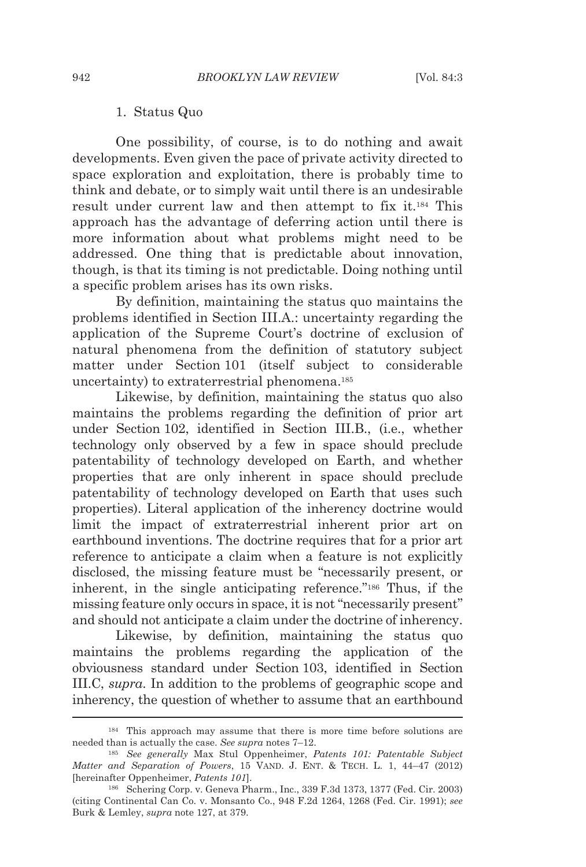#### 1. Status Quo

One possibility, of course, is to do nothing and await developments. Even given the pace of private activity directed to space exploration and exploitation, there is probably time to think and debate, or to simply wait until there is an undesirable result under current law and then attempt to fix it.184 This approach has the advantage of deferring action until there is more information about what problems might need to be addressed. One thing that is predictable about innovation, though, is that its timing is not predictable. Doing nothing until a specific problem arises has its own risks.

By definition, maintaining the status quo maintains the problems identified in Section III.A.: uncertainty regarding the application of the Supreme Court's doctrine of exclusion of natural phenomena from the definition of statutory subject matter under Section 101 (itself subject to considerable uncertainty) to extraterrestrial phenomena.185

Likewise, by definition, maintaining the status quo also maintains the problems regarding the definition of prior art under Section 102, identified in Section III.B., (i.e., whether technology only observed by a few in space should preclude patentability of technology developed on Earth, and whether properties that are only inherent in space should preclude patentability of technology developed on Earth that uses such properties). Literal application of the inherency doctrine would limit the impact of extraterrestrial inherent prior art on earthbound inventions. The doctrine requires that for a prior art reference to anticipate a claim when a feature is not explicitly disclosed, the missing feature must be "necessarily present, or inherent, in the single anticipating reference."186 Thus, if the missing feature only occurs in space, it is not "necessarily present" and should not anticipate a claim under the doctrine of inherency.

Likewise, by definition, maintaining the status quo maintains the problems regarding the application of the obviousness standard under Section 103, identified in Section III.C, *supra*. In addition to the problems of geographic scope and inherency, the question of whether to assume that an earthbound

<sup>184</sup> This approach may assume that there is more time before solutions are needed than is actually the case. *See supra* notes 7–12. 185 *See generally* Max Stul Oppenheimer, *Patents 101: Patentable Subject* 

*Matter and Separation of Powers*, 15 VAND. J. ENT. & TECH. L. 1, 44–47 (2012) [hereinafter Oppenheimer, *Patents 101*]. 186 Schering Corp. v. Geneva Pharm., Inc., 339 F.3d 1373, 1377 (Fed. Cir. 2003)

<sup>(</sup>citing Continental Can Co. v. Monsanto Co., 948 F.2d 1264, 1268 (Fed. Cir. 1991); *see* Burk & Lemley, *supra* note 127, at 379.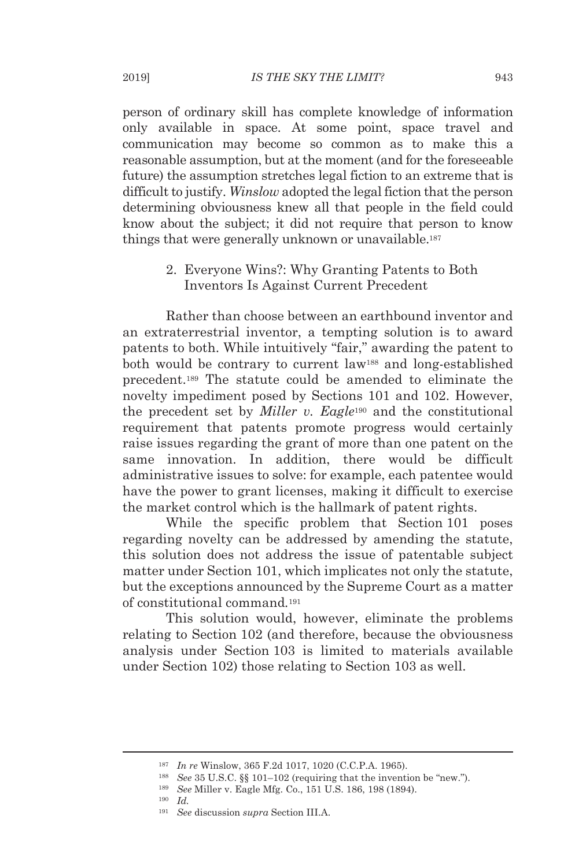person of ordinary skill has complete knowledge of information only available in space. At some point, space travel and communication may become so common as to make this a reasonable assumption, but at the moment (and for the foreseeable future) the assumption stretches legal fiction to an extreme that is difficult to justify. *Winslow* adopted the legal fiction that the person determining obviousness knew all that people in the field could know about the subject; it did not require that person to know things that were generally unknown or unavailable.187

> 2. Everyone Wins?: Why Granting Patents to Both Inventors Is Against Current Precedent

Rather than choose between an earthbound inventor and an extraterrestrial inventor, a tempting solution is to award patents to both. While intuitively "fair," awarding the patent to both would be contrary to current law188 and long-established precedent.189 The statute could be amended to eliminate the novelty impediment posed by Sections 101 and 102. However, the precedent set by *Miller v. Eagle*190 and the constitutional requirement that patents promote progress would certainly raise issues regarding the grant of more than one patent on the same innovation. In addition, there would be difficult administrative issues to solve: for example, each patentee would have the power to grant licenses, making it difficult to exercise the market control which is the hallmark of patent rights.

While the specific problem that Section 101 poses regarding novelty can be addressed by amending the statute, this solution does not address the issue of patentable subject matter under Section 101, which implicates not only the statute, but the exceptions announced by the Supreme Court as a matter of constitutional command*.*<sup>191</sup>

This solution would, however, eliminate the problems relating to Section 102 (and therefore, because the obviousness analysis under Section 103 is limited to materials available under Section 102) those relating to Section 103 as well.

<sup>&</sup>lt;sup>187</sup> In re Winslow, 365 F.2d 1017, 1020 (C.C.P.A. 1965).<br><sup>188</sup> See 35 U.S.C. §§ 101–102 (requiring that the invention be "new.").<br><sup>189</sup> See Miller v. Eagle Mfg. Co., 151 U.S. 186, 198 (1894).<br><sup>190</sup> Id

<sup>191</sup> *See* discussion *supra* Section III.A.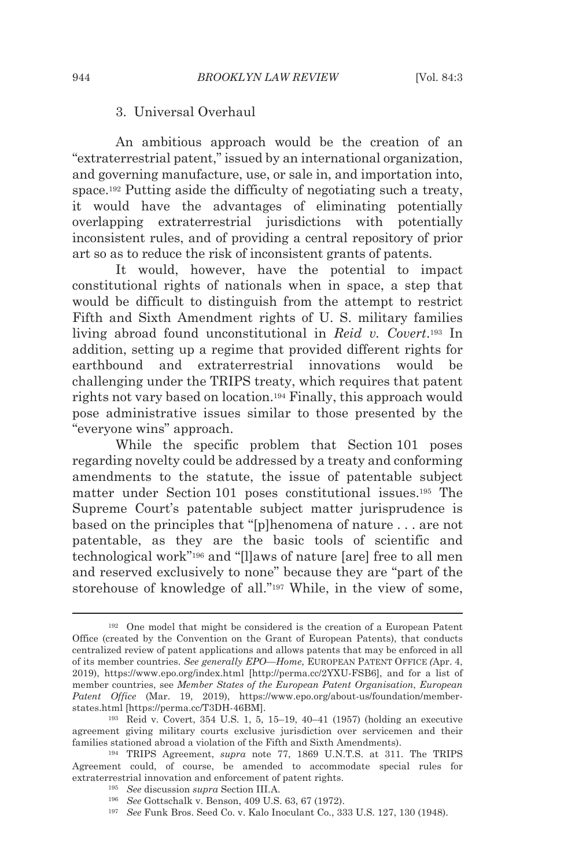#### 3. Universal Overhaul

An ambitious approach would be the creation of an "extraterrestrial patent," issued by an international organization, and governing manufacture, use, or sale in, and importation into, space.192 Putting aside the difficulty of negotiating such a treaty, it would have the advantages of eliminating potentially overlapping extraterrestrial jurisdictions with potentially inconsistent rules, and of providing a central repository of prior art so as to reduce the risk of inconsistent grants of patents.

It would, however, have the potential to impact constitutional rights of nationals when in space, a step that would be difficult to distinguish from the attempt to restrict Fifth and Sixth Amendment rights of U. S. military families living abroad found unconstitutional in *Reid v. Covert*.193 In addition, setting up a regime that provided different rights for earthbound and extraterrestrial innovations would be challenging under the TRIPS treaty, which requires that patent rights not vary based on location.194 Finally, this approach would pose administrative issues similar to those presented by the "everyone wins" approach.

While the specific problem that Section 101 poses regarding novelty could be addressed by a treaty and conforming amendments to the statute, the issue of patentable subject matter under Section 101 poses constitutional issues.195 The Supreme Court's patentable subject matter jurisprudence is based on the principles that "[p]henomena of nature . . . are not patentable, as they are the basic tools of scientific and technological work"196 and "[l]aws of nature [are] free to all men and reserved exclusively to none" because they are "part of the storehouse of knowledge of all."197 While, in the view of some,

<sup>192</sup> One model that might be considered is the creation of a European Patent Office (created by the Convention on the Grant of European Patents), that conducts centralized review of patent applications and allows patents that may be enforced in all of its member countries. *See generally EPO—Home*, EUROPEAN PATENT OFFICE *(*Apr. 4, 2019), https://www.epo.org/index.html [http://perma.cc/2YXU-FSB6], and for a list of member countries, see *Member States of the European Patent Organisation*, *European Patent Office* (Mar. 19, 2019), https://www.epo.org/about-us/foundation/memberstates.html [https://perma.cc/T3DH-46BM]. 193 Reid v. Covert, 354 U.S. 1, 5, 15–19, 40–41 (1957) (holding an executive

agreement giving military courts exclusive jurisdiction over servicemen and their families stationed abroad a violation of the Fifth and Sixth Amendments). 194 TRIPS Agreement, *supra* note 77, 1869 U.N.T.S. at 311. The TRIPS

Agreement could, of course, be amended to accommodate special rules for extraterrestrial innovation and enforcement of patent rights.<br>
<sup>195</sup> See discussion supra Section III.A.<br>
<sup>196</sup> See Gottschalk v. Benson, 409 U.S. 63, 67 (1972).<br>
<sup>197</sup> See Funk Bros. Seed Co. v. Kalo Inoculant Co., 333 U.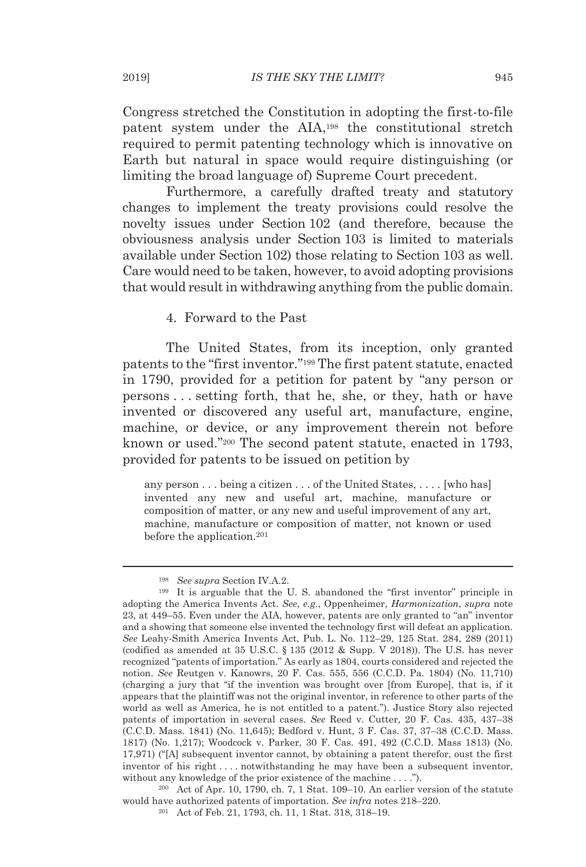Congress stretched the Constitution in adopting the first-to-file patent system under the AIA,198 the constitutional stretch required to permit patenting technology which is innovative on Earth but natural in space would require distinguishing (or limiting the broad language of) Supreme Court precedent.

Furthermore, a carefully drafted treaty and statutory changes to implement the treaty provisions could resolve the novelty issues under Section 102 (and therefore, because the obviousness analysis under Section 103 is limited to materials available under Section 102) those relating to Section 103 as well. Care would need to be taken, however, to avoid adopting provisions that would result in withdrawing anything from the public domain.

4. Forward to the Past

The United States, from its inception, only granted patents to the "first inventor."199 The first patent statute, enacted in 1790, provided for a petition for patent by "any person or persons . . . setting forth, that he, she, or they, hath or have invented or discovered any useful art, manufacture, engine, machine, or device, or any improvement therein not before known or used."200 The second patent statute, enacted in 1793, provided for patents to be issued on petition by

any person . . . being a citizen . . . of the United States, . . . . [who has] invented any new and useful art, machine, manufacture or composition of matter, or any new and useful improvement of any art, machine, manufacture or composition of matter, not known or used before the application.201

would have authorized patents of importation. *See infra* notes 218–220. 201 Act of Feb. 21, 1793, ch. 11, 1 Stat. 318, 318–19.

<sup>&</sup>lt;sup>198</sup> See *supra* Section IV.A.2.<br><sup>199</sup> It is arguable that the U. S. abandoned the "first inventor" principle in adopting the America Invents Act. *See*, *e.g.*, Oppenheimer, *Harmonization*, *supra* note 23, at 449–55. Even under the AIA, however, patents are only granted to "an" inventor and a showing that someone else invented the technology first will defeat an application. *See* Leahy-Smith America Invents Act, Pub. L. No. 112–29, 125 Stat. 284, 289 (2011) (codified as amended at  $35 \text{ U.S.C.}$  §  $135 \text{ } (2012 \text{ \&} \text{ Supp. V } 2018)$ ). The U.S. has never recognized "patents of importation." As early as 1804, courts considered and rejected the notion. *See* Reutgen v. Kanowrs, 20 F. Cas. 555, 556 (C.C.D. Pa. 1804) (No. 11,710) (charging a jury that "if the invention was brought over [from Europe], that is, if it appears that the plaintiff was not the original inventor, in reference to other parts of the world as well as America, he is not entitled to a patent."). Justice Story also rejected patents of importation in several cases. *See* Reed v. Cutter, 20 F. Cas. 435, 437–38 (C.C.D. Mass. 1841) (No. 11,645); Bedford v. Hunt, 3 F. Cas. 37, 37–38 (C.C.D. Mass. 1817) (No. 1,217); Woodcock v. Parker, 30 F. Cas. 491, 492 (C.C.D. Mass 1813) (No. 17,971) ("[A] subsequent inventor cannot, by obtaining a patent therefor, oust the first inventor of his right . . . . notwithstanding he may have been a subsequent inventor, without any knowledge of the prior existence of the machine . . . .").<br><sup>200</sup> Act of Apr. 10, 1790, ch. 7, 1 Stat. 109–10. An earlier version of the statute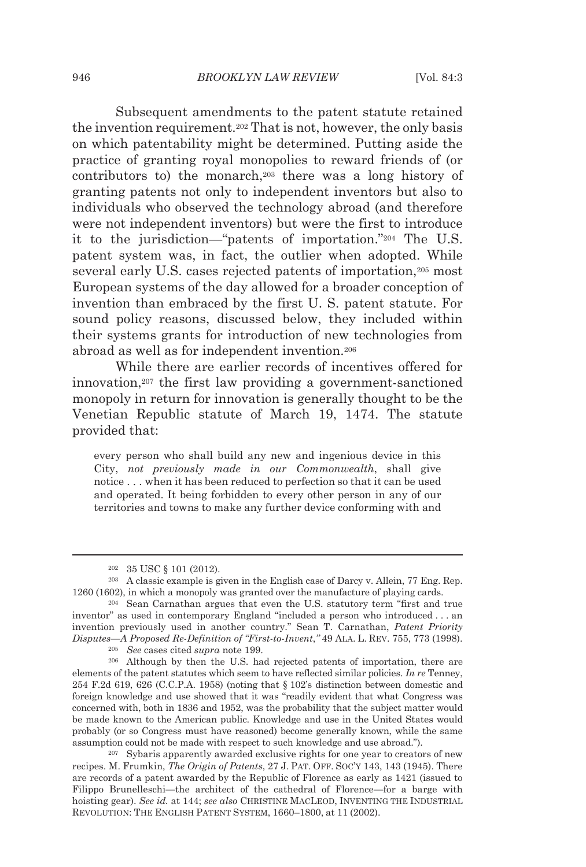Subsequent amendments to the patent statute retained the invention requirement.202 That is not, however, the only basis on which patentability might be determined. Putting aside the practice of granting royal monopolies to reward friends of (or contributors to) the monarch,203 there was a long history of granting patents not only to independent inventors but also to individuals who observed the technology abroad (and therefore were not independent inventors) but were the first to introduce it to the jurisdiction—"patents of importation."204 The U.S. patent system was, in fact, the outlier when adopted. While several early U.S. cases rejected patents of importation,205 most European systems of the day allowed for a broader conception of invention than embraced by the first U. S. patent statute. For sound policy reasons, discussed below, they included within their systems grants for introduction of new technologies from abroad as well as for independent invention.206

While there are earlier records of incentives offered for innovation,207 the first law providing a government-sanctioned monopoly in return for innovation is generally thought to be the Venetian Republic statute of March 19, 1474. The statute provided that:

every person who shall build any new and ingenious device in this City, *not previously made in our Commonwealth*, shall give notice . . . when it has been reduced to perfection so that it can be used and operated. It being forbidden to every other person in any of our territories and towns to make any further device conforming with and

<sup>&</sup>lt;sup>202</sup> 35 USC § 101 (2012).<br><sup>203</sup> A classic example is given in the English case of Darcy v. Allein, 77 Eng. Rep. 1260 (1602), in which a monopoly was granted over the manufacture of playing cards.<br><sup>204</sup> Sean Carnathan argues that even the U.S. statutory term "first and true

inventor" as used in contemporary England "included a person who introduced . . . an invention previously used in another country." Sean T. Carnathan, *Patent Priority*  Disputes—A Proposed Re-Definition of "First-to-Invent," 49 ALA. L. REV. 755, 773 (1998).<br><sup>205</sup> See cases cited *supra* note 199.<br><sup>206</sup> Although by then the U.S. had rejected patents of importation, there are

elements of the patent statutes which seem to have reflected similar policies. *In re* Tenney, 254 F.2d 619, 626 (C.C.P.A. 1958) (noting that § 102's distinction between domestic and foreign knowledge and use showed that it was "readily evident that what Congress was concerned with, both in 1836 and 1952, was the probability that the subject matter would be made known to the American public. Knowledge and use in the United States would probably (or so Congress must have reasoned) become generally known, while the same assumption could not be made with respect to such knowledge and use abroad.").<br><sup>207</sup> Sybaris apparently awarded exclusive rights for one year to creators of new

recipes. M. Frumkin, *The Origin of Patents*, 27 J. PAT. OFF. SOC'Y 143, 143 (1945). There are records of a patent awarded by the Republic of Florence as early as 1421 (issued to Filippo Brunelleschi—the architect of the cathedral of Florence—for a barge with hoisting gear). *See id.* at 144; *see also* CHRISTINE MACLEOD, INVENTING THE INDUSTRIAL REVOLUTION: THE ENGLISH PATENT SYSTEM, 1660–1800, at 11 (2002).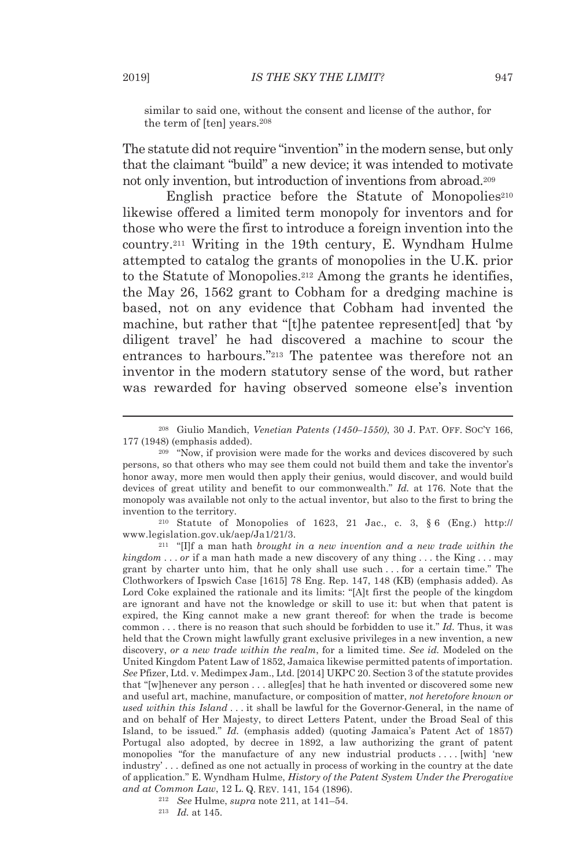similar to said one, without the consent and license of the author, for the term of [ten] years.208

The statute did not require "invention" in the modern sense, but only that the claimant "build" a new device; it was intended to motivate not only invention, but introduction of inventions from abroad.209

English practice before the Statute of Monopolies<sup>210</sup> likewise offered a limited term monopoly for inventors and for those who were the first to introduce a foreign invention into the country.211 Writing in the 19th century, E. Wyndham Hulme attempted to catalog the grants of monopolies in the U.K. prior to the Statute of Monopolies.212 Among the grants he identifies, the May 26, 1562 grant to Cobham for a dredging machine is based, not on any evidence that Cobham had invented the machine, but rather that "[t]he patentee represent[ed] that 'by diligent travel' he had discovered a machine to scour the entrances to harbours."213 The patentee was therefore not an inventor in the modern statutory sense of the word, but rather was rewarded for having observed someone else's invention

www.legislation.gov.uk/aep/Ja1/21/3. 211 "[I]f a man hath *brought in a new invention and a new trade within the* 

*kingdom* . . . *or* if a man hath made a new discovery of any thing . . . the King . . . may grant by charter unto him, that he only shall use such . . . for a certain time." The Clothworkers of Ipswich Case [1615] 78 Eng. Rep. 147, 148 (KB) (emphasis added). As Lord Coke explained the rationale and its limits: "[A]t first the people of the kingdom are ignorant and have not the knowledge or skill to use it: but when that patent is expired, the King cannot make a new grant thereof: for when the trade is become common . . . there is no reason that such should be forbidden to use it." *Id.* Thus, it was held that the Crown might lawfully grant exclusive privileges in a new invention, a new discovery, *or a new trade within the realm*, for a limited time. *See id.* Modeled on the United Kingdom Patent Law of 1852, Jamaica likewise permitted patents of importation. *See* Pfizer, Ltd. v. Medimpex Jam., Ltd. [2014] UKPC 20. Section 3 of the statute provides that "[w]henever any person . . . alleg[es] that he hath invented or discovered some new and useful art, machine, manufacture, or composition of matter, *not heretofore known or used within this Island* . . . it shall be lawful for the Governor-General, in the name of and on behalf of Her Majesty, to direct Letters Patent, under the Broad Seal of this Island, to be issued." *Id.* (emphasis added) (quoting Jamaica's Patent Act of 1857) Portugal also adopted, by decree in 1892, a law authorizing the grant of patent monopolies "for the manufacture of any new industrial products . . . . [with] 'new industry' . . . defined as one not actually in process of working in the country at the date of application." E. Wyndham Hulme, *History of the Patent System Under the Prerogative and at Common Law*, 12 L. Q. REV. 141, 154 (1896). 212 *See* Hulme, *supra* note 211, at 141–54. 213 *Id.* at 145.

<sup>208</sup> Giulio Mandich, *Venetian Patents (1450–1550)*, 30 J. PAT. OFF. SOC'Y 166, 177 (1948) (emphasis added).<br><sup>209</sup> "Now, if provision were made for the works and devices discovered by such

persons, so that others who may see them could not build them and take the inventor's honor away, more men would then apply their genius, would discover, and would build devices of great utility and benefit to our commonwealth." *Id.* at 176. Note that the monopoly was available not only to the actual inventor, but also to the first to bring the invention to the territory. 210 Statute of Monopolies of 1623, 21 Jac., c. 3, § 6 (Eng.) http://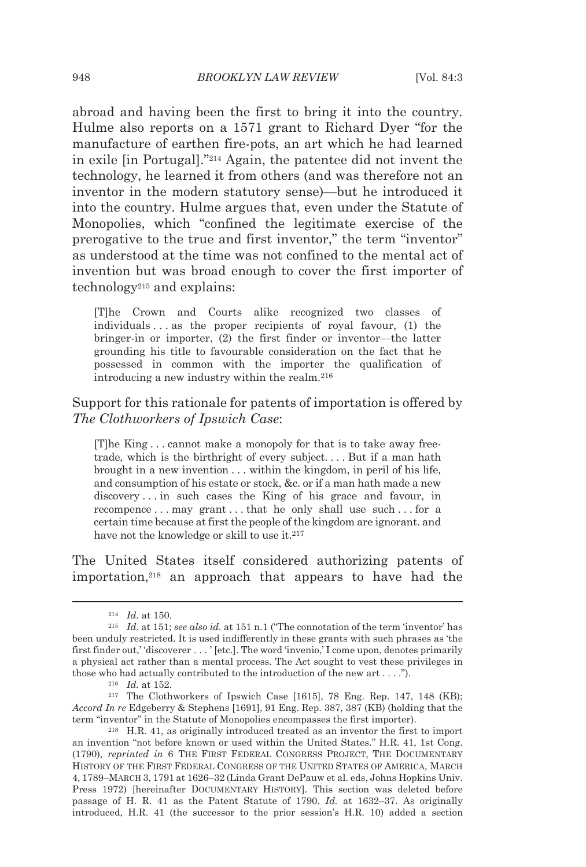abroad and having been the first to bring it into the country. Hulme also reports on a 1571 grant to Richard Dyer "for the manufacture of earthen fire-pots, an art which he had learned in exile [in Portugal]."214 Again, the patentee did not invent the technology, he learned it from others (and was therefore not an inventor in the modern statutory sense)—but he introduced it into the country. Hulme argues that, even under the Statute of Monopolies, which "confined the legitimate exercise of the prerogative to the true and first inventor," the term "inventor" as understood at the time was not confined to the mental act of invention but was broad enough to cover the first importer of technology215 and explains:

[T]he Crown and Courts alike recognized two classes of individuals . . . as the proper recipients of royal favour, (1) the bringer-in or importer, (2) the first finder or inventor—the latter grounding his title to favourable consideration on the fact that he possessed in common with the importer the qualification of introducing a new industry within the realm.216

Support for this rationale for patents of importation is offered by *The Clothworkers of Ipswich Case*:

[T]he King . . . cannot make a monopoly for that is to take away freetrade, which is the birthright of every subject. . . . But if a man hath brought in a new invention . . . within the kingdom, in peril of his life, and consumption of his estate or stock, &c. or if a man hath made a new discovery . . . in such cases the King of his grace and favour, in recompence . . . may grant . . . that he only shall use such . . . for a certain time because at first the people of the kingdom are ignorant. and have not the knowledge or skill to use it.<sup>217</sup>

The United States itself considered authorizing patents of importation,218 an approach that appears to have had the

<sup>214</sup> *Id.* at 150. 215 *Id.* at 151; *see also id.* at 151 n.1 ("The connotation of the term 'inventor' has been unduly restricted. It is used indifferently in these grants with such phrases as 'the first finder out,' 'discoverer . . . ' [etc.]. The word 'invenio,' I come upon, denotes primarily a physical act rather than a mental process. The Act sought to vest these privileges in those who had actually contributed to the introduction of the new art . . . .").<br><sup>216</sup> *Id.* at 152.<br><sup>217</sup> The Clothworkers of Ipswich Case [1615], 78 Eng. Rep. 147, 148 (KB);

*Accord In re* Edgeberry & Stephens [1691], 91 Eng. Rep. 387, 387 (KB) (holding that the term "inventor" in the Statute of Monopolies encompasses the first importer). 218 H.R. 41, as originally introduced treated as an inventor the first to import

an invention "not before known or used within the United States." H.R. 41, 1st Cong. (1790), *reprinted in* 6 THE FIRST FEDERAL CONGRESS PROJECT, THE DOCUMENTARY HISTORY OF THE FIRST FEDERAL CONGRESS OF THE UNITED STATES OF AMERICA, MARCH 4, 1789–MARCH 3, 1791 at 1626–32 (Linda Grant DePauw et al. eds, Johns Hopkins Univ. Press 1972) [hereinafter DOCUMENTARY HISTORY]. This section was deleted before passage of H. R. 41 as the Patent Statute of 1790. *Id.* at 1632–37. As originally introduced, H.R. 41 (the successor to the prior session's H.R. 10) added a section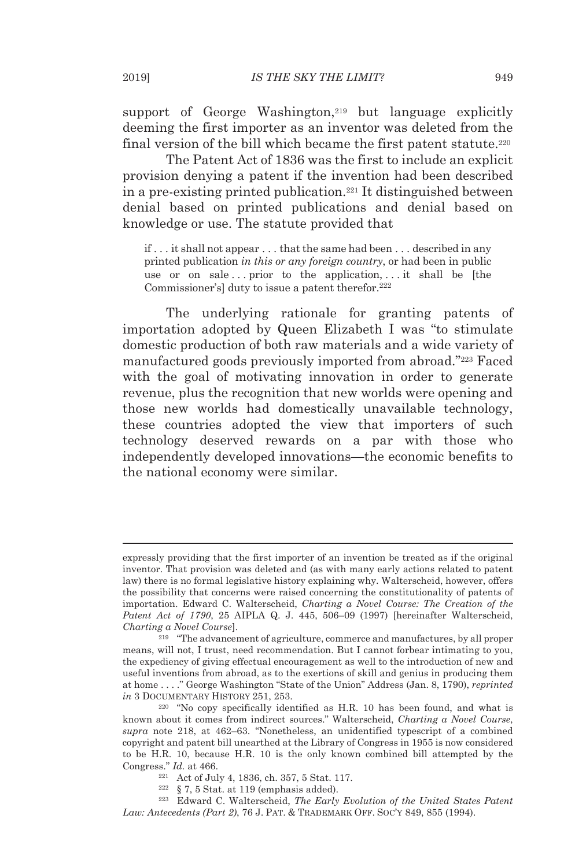support of George Washington,<sup>219</sup> but language explicitly deeming the first importer as an inventor was deleted from the final version of the bill which became the first patent statute.<sup>220</sup>

The Patent Act of 1836 was the first to include an explicit provision denying a patent if the invention had been described in a pre-existing printed publication.221 It distinguished between denial based on printed publications and denial based on knowledge or use. The statute provided that

if . . . it shall not appear . . . that the same had been . . . described in any printed publication *in this or any foreign country*, or had been in public use or on sale ... prior to the application, ... it shall be [the Commissioner's] duty to issue a patent therefor.<sup>222</sup>

The underlying rationale for granting patents of importation adopted by Queen Elizabeth I was "to stimulate domestic production of both raw materials and a wide variety of manufactured goods previously imported from abroad."223 Faced with the goal of motivating innovation in order to generate revenue, plus the recognition that new worlds were opening and those new worlds had domestically unavailable technology, these countries adopted the view that importers of such technology deserved rewards on a par with those who independently developed innovations—the economic benefits to the national economy were similar.

expressly providing that the first importer of an invention be treated as if the original inventor. That provision was deleted and (as with many early actions related to patent law) there is no formal legislative history explaining why. Walterscheid, however, offers the possibility that concerns were raised concerning the constitutionality of patents of importation. Edward C. Walterscheid, *Charting a Novel Course: The Creation of the Patent Act of 1790*, 25 AIPLA Q. J. 445, 506–09 (1997) [hereinafter Walterscheid, *Charting a Novel Course*]. 219 "The advancement of agriculture, commerce and manufactures, by all proper

means, will not, I trust, need recommendation. But I cannot forbear intimating to you, the expediency of giving effectual encouragement as well to the introduction of new and useful inventions from abroad, as to the exertions of skill and genius in producing them at home . . . ." George Washington "State of the Union" Address (Jan. 8, 1790), *reprinted in* 3 DOCUMENTARY HISTORY 251, 253.<br><sup>220</sup> "No copy specifically identified as H.R. 10 has been found, and what is

known about it comes from indirect sources." Walterscheid, *Charting a Novel Course*, *supra* note 218, at 462–63. "Nonetheless, an unidentified typescript of a combined copyright and patent bill unearthed at the Library of Congress in 1955 is now considered to be H.R. 10, because H.R. 10 is the only known combined bill attempted by the Congress." *Id.* at 466. 221 Act of July 4, 1836, ch. 357, 5 Stat. 117. 222 § 7, 5 Stat. at 119 (emphasis added). 223 Edward C. Walterscheid, *The Early Evolution of the United States Patent* 

*Law: Antecedents (Part 2)*, 76 J. PAT. & TRADEMARK OFF. SOC'Y 849, 855 (1994).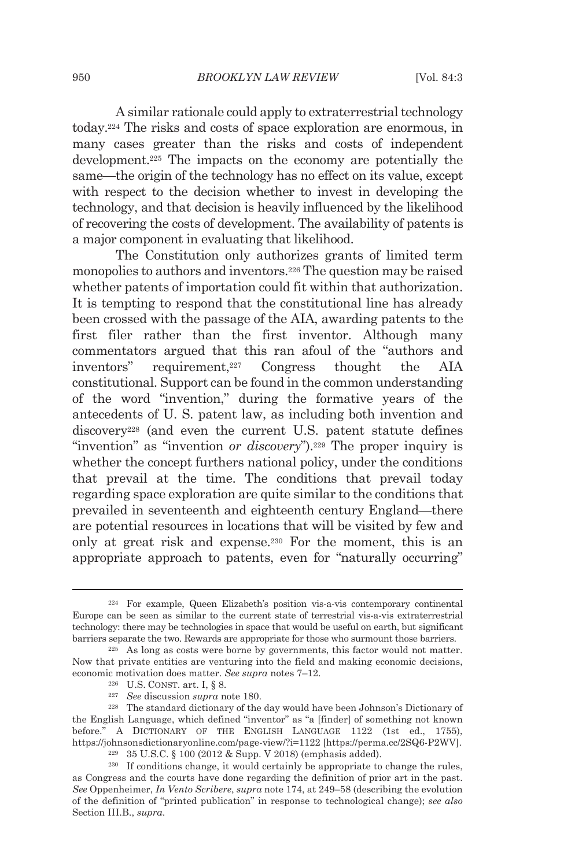A similar rationale could apply to extraterrestrial technology today.224 The risks and costs of space exploration are enormous, in many cases greater than the risks and costs of independent development.225 The impacts on the economy are potentially the same—the origin of the technology has no effect on its value, except with respect to the decision whether to invest in developing the technology, and that decision is heavily influenced by the likelihood of recovering the costs of development. The availability of patents is a major component in evaluating that likelihood.

The Constitution only authorizes grants of limited term monopolies to authors and inventors.226 The question may be raised whether patents of importation could fit within that authorization. It is tempting to respond that the constitutional line has already been crossed with the passage of the AIA, awarding patents to the first filer rather than the first inventor. Although many commentators argued that this ran afoul of the "authors and inventors" requirement,227 Congress thought the AIA constitutional. Support can be found in the common understanding of the word "invention," during the formative years of the antecedents of U. S. patent law, as including both invention and discovery<sup>228</sup> (and even the current U.S. patent statute defines "invention" as "invention *or discovery*").229 The proper inquiry is whether the concept furthers national policy, under the conditions that prevail at the time. The conditions that prevail today regarding space exploration are quite similar to the conditions that prevailed in seventeenth and eighteenth century England—there are potential resources in locations that will be visited by few and only at great risk and expense.230 For the moment, this is an appropriate approach to patents, even for "naturally occurring"

<sup>224</sup> For example, Queen Elizabeth's position vis-a-vis contemporary continental Europe can be seen as similar to the current state of terrestrial vis-a-vis extraterrestrial technology: there may be technologies in space that would be useful on earth, but significant barriers separate the two. Rewards are appropriate for those who surmount those barriers.<br><sup>225</sup> As long as costs were borne by governments, this factor would not matter.

Now that private entities are venturing into the field and making economic decisions, economic motivation does matter. See supra notes 7–12.<br><sup>226</sup> U.S. CONST. art. I, § 8.<br><sup>227</sup> See discussion *supra* note 180.<br><sup>228</sup> The standard dictionary of the day would have been Johnson's Dictionary of

the English Language, which defined "inventor" as "a [finder] of something not known before." A DICTIONARY OF THE ENGLISH LANGUAGE 1122 (1st ed., 1755), https://johnsonsdictionaryonline.com/page-view/?i=1122 [https://perma.cc/2SQ6-P2WV].<br><sup>229</sup> 35 U.S.C. § 100 (2012 & Supp. V 2018) (emphasis added).<br><sup>230</sup> If conditions change, it would certainly be appropriate to change th

as Congress and the courts have done regarding the definition of prior art in the past. *See* Oppenheimer, *In Vento Scribere*, *supra* note 174, at 249–58 (describing the evolution of the definition of "printed publication" in response to technological change); *see also*  Section III.B., *supra*.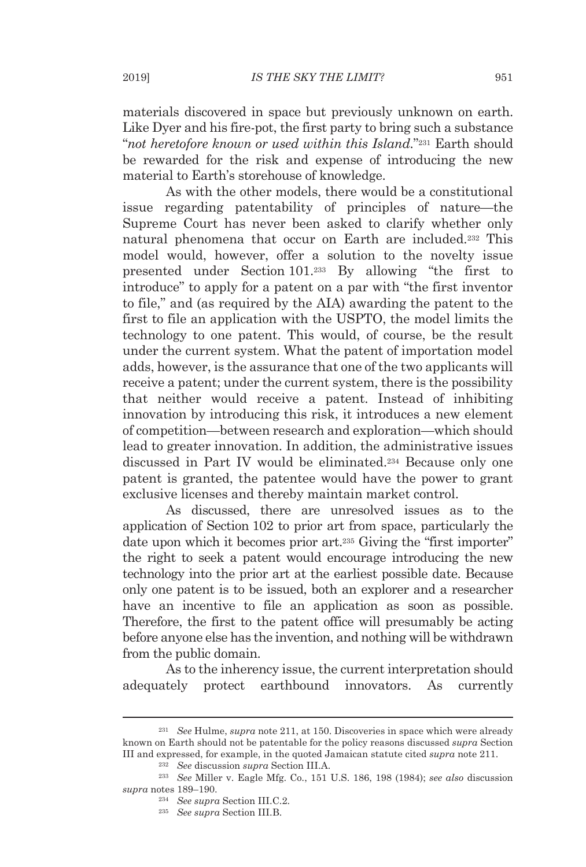materials discovered in space but previously unknown on earth. Like Dyer and his fire-pot, the first party to bring such a substance "*not heretofore known or used within this Island.*"231 Earth should be rewarded for the risk and expense of introducing the new material to Earth's storehouse of knowledge.

As with the other models, there would be a constitutional issue regarding patentability of principles of nature—the Supreme Court has never been asked to clarify whether only natural phenomena that occur on Earth are included.232 This model would, however, offer a solution to the novelty issue presented under Section 101.233 By allowing "the first to introduce" to apply for a patent on a par with "the first inventor to file," and (as required by the AIA) awarding the patent to the first to file an application with the USPTO, the model limits the technology to one patent. This would, of course, be the result under the current system. What the patent of importation model adds, however, is the assurance that one of the two applicants will receive a patent; under the current system, there is the possibility that neither would receive a patent. Instead of inhibiting innovation by introducing this risk, it introduces a new element of competition—between research and exploration—which should lead to greater innovation. In addition, the administrative issues discussed in Part IV would be eliminated.234 Because only one patent is granted, the patentee would have the power to grant exclusive licenses and thereby maintain market control.

As discussed, there are unresolved issues as to the application of Section 102 to prior art from space, particularly the date upon which it becomes prior art.235 Giving the "first importer" the right to seek a patent would encourage introducing the new technology into the prior art at the earliest possible date. Because only one patent is to be issued, both an explorer and a researcher have an incentive to file an application as soon as possible. Therefore, the first to the patent office will presumably be acting before anyone else has the invention, and nothing will be withdrawn from the public domain.

As to the inherency issue, the current interpretation should adequately protect earthbound innovators. As currently

<sup>231</sup> *See* Hulme, *supra* note 211, at 150. Discoveries in space which were already known on Earth should not be patentable for the policy reasons discussed *supra* Section III and expressed, for example, in the quoted Jamaican statute cited *supra* note 211.<br><sup>232</sup> See discussion *supra* Section III.A.<br><sup>233</sup> See Miller v. Eagle Mfg. Co., 151 U.S. 186, 198 (1984); *see also* discussion

*supra* notes 189–190.

<sup>234</sup> *See supra* Section III.C.2. 235 *See supra* Section III.B.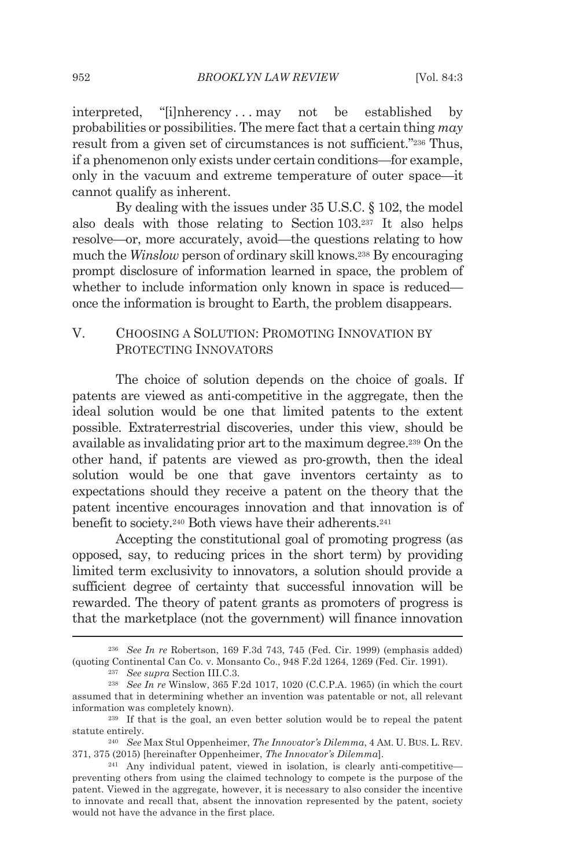interpreted, "[i]nherency . . . may not be established by probabilities or possibilities. The mere fact that a certain thing *may* result from a given set of circumstances is not sufficient."236 Thus, if a phenomenon only exists under certain conditions—for example, only in the vacuum and extreme temperature of outer space—it cannot qualify as inherent.

By dealing with the issues under 35 U.S.C. § 102, the model also deals with those relating to Section 103.237 It also helps resolve—or, more accurately, avoid—the questions relating to how much the *Winslow* person of ordinary skill knows.238 By encouraging prompt disclosure of information learned in space, the problem of whether to include information only known in space is reduced once the information is brought to Earth, the problem disappears.

# V. CHOOSING A SOLUTION: PROMOTING INNOVATION BY PROTECTING INNOVATORS

The choice of solution depends on the choice of goals. If patents are viewed as anti-competitive in the aggregate, then the ideal solution would be one that limited patents to the extent possible. Extraterrestrial discoveries, under this view, should be available as invalidating prior art to the maximum degree.239 On the other hand, if patents are viewed as pro-growth, then the ideal solution would be one that gave inventors certainty as to expectations should they receive a patent on the theory that the patent incentive encourages innovation and that innovation is of benefit to society.240 Both views have their adherents.241

Accepting the constitutional goal of promoting progress (as opposed, say, to reducing prices in the short term) by providing limited term exclusivity to innovators, a solution should provide a sufficient degree of certainty that successful innovation will be rewarded. The theory of patent grants as promoters of progress is that the marketplace (not the government) will finance innovation

<sup>236</sup> *See In re* Robertson, 169 F.3d 743, 745 (Fed. Cir. 1999) (emphasis added) (quoting Continental Can Co. v. Monsanto Co., 948 F.2d 1264, 1269 (Fed. Cir. 1991). 237 *See supra* Section III.C.3. 238 *See In re* Winslow, 365 F.2d 1017, 1020 (C.C.P.A. 1965) (in which the court

assumed that in determining whether an invention was patentable or not, all relevant information was completely known). 239 If that is the goal, an even better solution would be to repeal the patent

statute entirely. 240 *See* Max Stul Oppenheimer, *The Innovator's Dilemma*, 4 AM. U. BUS. L. REV.

<sup>371, 375 (2015) [</sup>hereinafter Oppenheimer, *The Innovator's Dilemma*]. 241 Any individual patent, viewed in isolation, is clearly anti-competitive—

preventing others from using the claimed technology to compete is the purpose of the patent. Viewed in the aggregate, however, it is necessary to also consider the incentive to innovate and recall that, absent the innovation represented by the patent, society would not have the advance in the first place.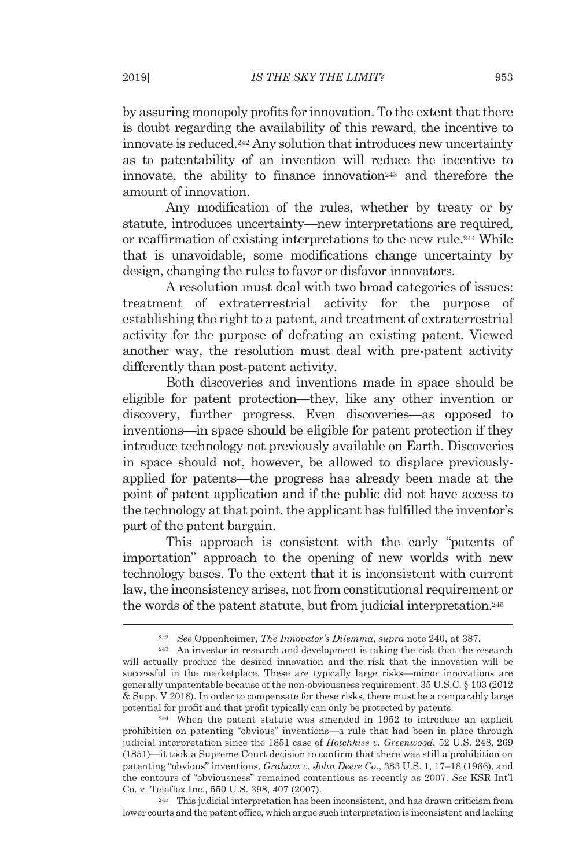by assuring monopoly profits for innovation. To the extent that there is doubt regarding the availability of this reward, the incentive to innovate is reduced.242 Any solution that introduces new uncertainty as to patentability of an invention will reduce the incentive to innovate, the ability to finance innovation<sup>243</sup> and therefore the amount of innovation.

Any modification of the rules, whether by treaty or by statute, introduces uncertainty—new interpretations are required, or reaffirmation of existing interpretations to the new rule.244 While that is unavoidable, some modifications change uncertainty by design, changing the rules to favor or disfavor innovators.

A resolution must deal with two broad categories of issues: treatment of extraterrestrial activity for the purpose of establishing the right to a patent, and treatment of extraterrestrial activity for the purpose of defeating an existing patent. Viewed another way, the resolution must deal with pre-patent activity differently than post-patent activity.

Both discoveries and inventions made in space should be eligible for patent protection—they, like any other invention or discovery, further progress. Even discoveries—as opposed to inventions—in space should be eligible for patent protection if they introduce technology not previously available on Earth. Discoveries in space should not, however, be allowed to displace previouslyapplied for patents—the progress has already been made at the point of patent application and if the public did not have access to the technology at that point, the applicant has fulfilled the inventor's part of the patent bargain.

This approach is consistent with the early "patents of importation" approach to the opening of new worlds with new technology bases. To the extent that it is inconsistent with current law, the inconsistency arises, not from constitutional requirement or the words of the patent statute, but from judicial interpretation.245

lower courts and the patent office, which argue such interpretation is inconsistent and lacking

<sup>&</sup>lt;sup>242</sup> See Oppenheimer, *The Innovator's Dilemma*, *supra* note 240, at 387.<br><sup>243</sup> An investor in research and development is taking the risk that the research

will actually produce the desired innovation and the risk that the innovation will be successful in the marketplace. These are typically large risks—minor innovations are generally unpatentable because of the non-obviousness requirement. 35 U.S.C. § 103 (2012 & Supp. V 2018). In order to compensate for these risks, there must be a comparably large potential for profit and that profit typically can only be protected by patents. 244 When the patent statute was amended in 1952 to introduce an explicit

prohibition on patenting "obvious" inventions—a rule that had been in place through judicial interpretation since the 1851 case of *Hotchkiss v. Greenwood*, 52 U.S. 248, 269 (1851)—it took a Supreme Court decision to confirm that there was still a prohibition on patenting "obvious" inventions, *Graham v. John Deere Co*., 383 U.S. 1, 17–18 (1966), and the contours of "obviousness" remained contentious as recently as 2007. *See* KSR Int'l Co. v. Teleflex Inc., 550 U.S. 398, 407 (2007). 245 This judicial interpretation has been inconsistent, and has drawn criticism from